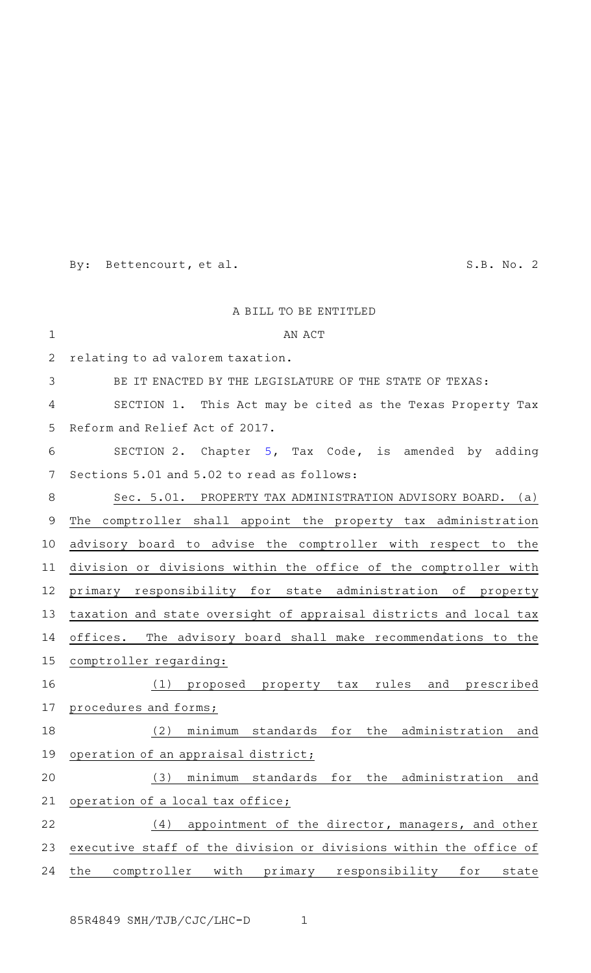By: Bettencourt, et al. S.B. No. 2

|              | A BILL TO BE ENTITLED                                             |
|--------------|-------------------------------------------------------------------|
| $\mathbf{1}$ | AN ACT                                                            |
| 2            | relating to ad valorem taxation.                                  |
| 3            | BE IT ENACTED BY THE LEGISLATURE OF THE STATE OF TEXAS:           |
| 4            | SECTION 1. This Act may be cited as the Texas Property Tax        |
| 5            | Reform and Relief Act of 2017.                                    |
| 6            | SECTION 2. Chapter 5, Tax Code, is amended by adding              |
| 7            | Sections 5.01 and 5.02 to read as follows:                        |
| 8            | Sec. 5.01. PROPERTY TAX ADMINISTRATION ADVISORY BOARD. (a)        |
| 9            | The comptroller shall appoint the property tax administration     |
| 10           | advisory board to advise the comptroller with respect to the      |
| 11           | division or divisions within the office of the comptroller with   |
| 12           | primary responsibility for state administration of property       |
| 13           | taxation and state oversight of appraisal districts and local tax |
| 14           | offices. The advisory board shall make recommendations to the     |
| 15           | comptroller regarding:                                            |
| 16           | proposed property tax rules<br>and prescribed<br>(1)              |
| 17           | procedures and forms;                                             |
| 18           | (2) minimum standards for the administration and                  |
| 19           | operation of an appraisal district;                               |
| 20           | minimum standards<br>(3)<br>for<br>the administration and         |
| 21           | operation of a local tax office;                                  |
| 22           | appointment of the director, managers, and other<br>(4)           |
| 23           | executive staff of the division or divisions within the office of |
| 24           | the<br>comptroller with primary responsibility<br>for<br>state    |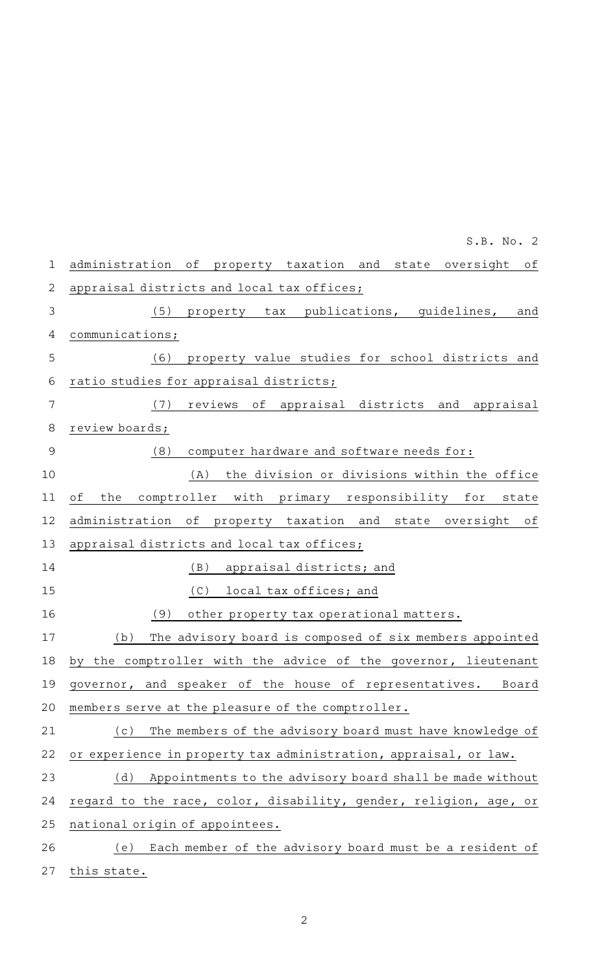| 1              | administration of<br>property taxation and state oversight<br>оf  |
|----------------|-------------------------------------------------------------------|
| $\overline{2}$ | appraisal districts and local tax offices;                        |
| 3              | (5)<br>publications, guidelines,<br>property tax<br>and           |
| 4              | communications;                                                   |
| 5              | property value studies for school districts and<br>(6)            |
| 6              | ratio studies for appraisal districts;                            |
| 7              | (7)<br>reviews of appraisal districts and appraisal               |
| 8              | review boards;                                                    |
| 9              | computer hardware and software needs for:<br>(8)                  |
| 10             | the division or divisions within the office<br>(A)                |
| 11             | оf<br>the<br>comptroller with primary responsibility for<br>state |
| 12             | administration of<br>property taxation and state oversight<br>оf  |
| 13             | appraisal districts and local tax offices;                        |
| 14             | (B)<br>appraisal districts; and                                   |
| 15             | (C)<br>local tax offices; and                                     |
| 16             | (9)<br>other property tax operational matters.                    |
| 17             | The advisory board is composed of six members appointed<br>(b)    |
| 18             | the comptroller with the advice of the governor, lieutenant<br>bv |
| 19             | governor, and speaker of the house of representatives. Board      |
| 20             | members serve at the pleasure of the comptroller.                 |
| 21             | The members of the advisory board must have knowledge of<br>(c)   |
| 22             | or experience in property tax administration, appraisal, or law.  |
| 23             | Appointments to the advisory board shall be made without<br>(d)   |
| 24             | regard to the race, color, disability, gender, religion, age, or  |
| 25             | national origin of appointees.                                    |
| 26             | Each member of the advisory board must be a resident of<br>(e)    |
|                |                                                                   |

2

27 this state.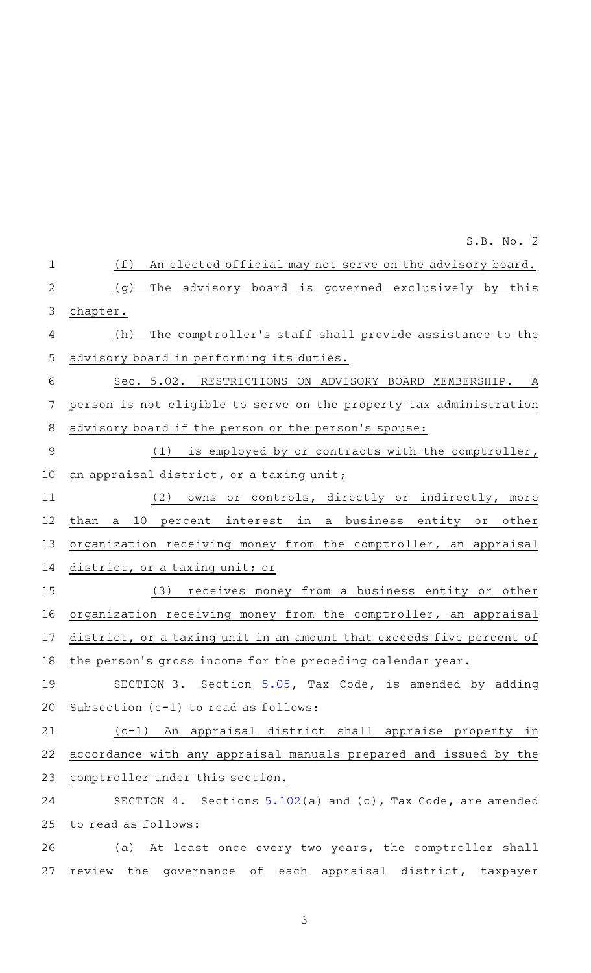(f) An elected official may not serve on the advisory board. (g) The advisory board is governed exclusively by this chapter. (h) The comptroller's staff shall provide assistance to the advisory board in performing its duties. Sec. 5.02. RESTRICTIONS ON ADVISORY BOARD MEMBERSHIP. A person is not eligible to serve on the property tax administration advisory board if the person or the person 's spouse: (1) is employed by or contracts with the comptroller, an appraisal district, or a taxing unit; (2) owns or controls, directly or indirectly, more than a 10 percent interest in a business entity or other organization receiving money from the comptroller, an appraisal district, or a taxing unit; or (3) receives money from a business entity or other organization receiving money from the comptroller, an appraisal district, or a taxing unit in an amount that exceeds five percent of the person's gross income for the preceding calendar year. SECTION 3. Section [5.05](http://www.statutes.legis.state.tx.us/GetStatute.aspx?Code=TX&Value=5.05&Date=11/29/2016), Tax Code, is amended by adding Subsection (c-1) to read as follows: (c-1) An appraisal district shall appraise property in accordance with any appraisal manuals prepared and issued by the comptroller under this section. SECTION 4. Sections  $5.102(a)$  $5.102(a)$  and (c), Tax Code, are amended to read as follows: (a) At least once every two years, the comptroller shall review the governance of each appraisal district, taxpayer 1 2 3 4 5 6 7 8 9 10 11 12 13 14 15 16 17 18 19 20 21 22 23 24 25 26 27

S.B. No. 2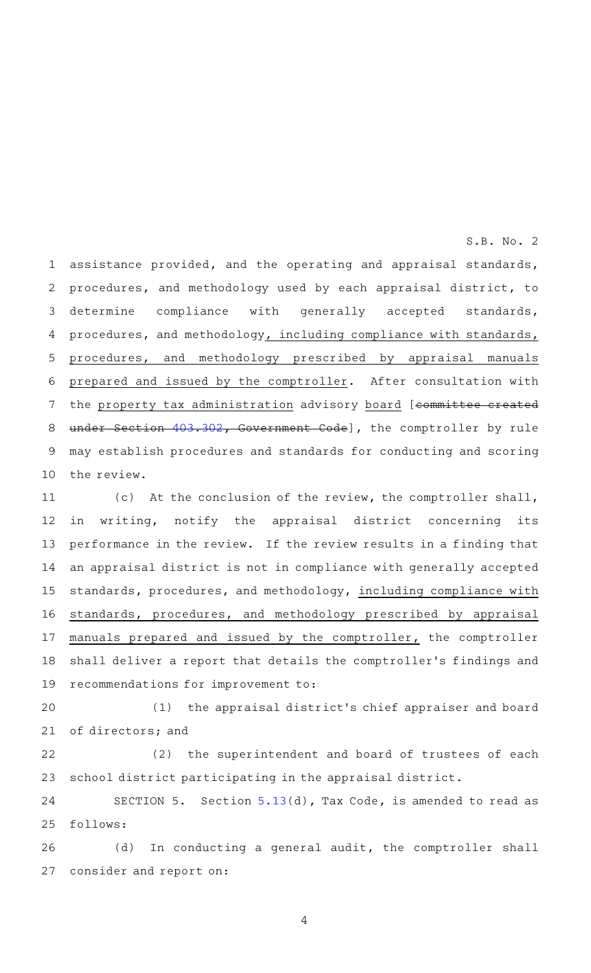assistance provided, and the operating and appraisal standards, procedures, and methodology used by each appraisal district, to determine compliance with generally accepted standards, procedures, and methodology, including compliance with standards, procedures, and methodology prescribed by appraisal manuals prepared and issued by the comptroller. After consultation with the property tax administration advisory board [committee created under Section [403.302](http://www.statutes.legis.state.tx.us/GetStatute.aspx?Code=GV&Value=403.302&Date=11/29/2016), Government Code], the comptroller by rule may establish procedures and standards for conducting and scoring the review. 1 2 3 4 5 6 7 8 9 10

S.B. No. 2

(c) At the conclusion of the review, the comptroller shall, in writing, notify the appraisal district concerning its performance in the review. If the review results in a finding that an appraisal district is not in compliance with generally accepted standards, procedures, and methodology, including compliance with standards, procedures, and methodology prescribed by appraisal manuals prepared and issued by the comptroller, the comptroller shall deliver a report that details the comptroller 's findings and recommendations for improvement to: 11 12 13 14 15 16 17 18 19

(1) the appraisal district's chief appraiser and board of directors; and 20 21

(2) the superintendent and board of trustees of each school district participating in the appraisal district. 22 23

SECTION 5. Section  $5.13(d)$  $5.13(d)$ , Tax Code, is amended to read as follows: 24 25

(d) In conducting a general audit, the comptroller shall consider and report on: 26 27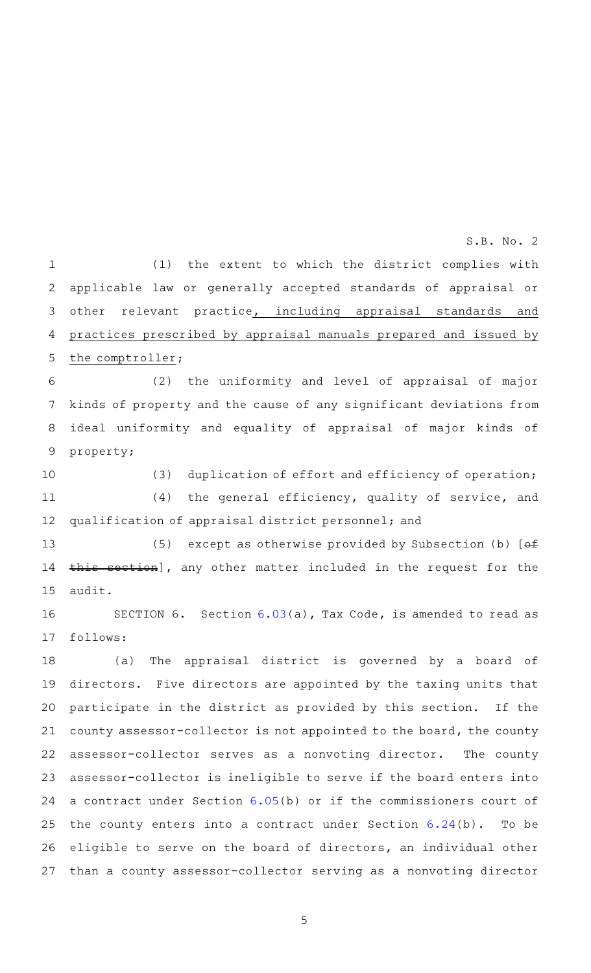(1) the extent to which the district complies with applicable law or generally accepted standards of appraisal or other relevant practice, including appraisal standards and practices prescribed by appraisal manuals prepared and issued by the comptroller; 1 2 3 4 5

(2) the uniformity and level of appraisal of major kinds of property and the cause of any significant deviations from ideal uniformity and equality of appraisal of major kinds of property; 6 7 8 9

(3) duplication of effort and efficiency of operation;  $(4)$  the general efficiency, quality of service, and qualification of appraisal district personnel; and 10 11 12

(5) except as otherwise provided by Subsection (b)  $[ef$ this section], any other matter included in the request for the audit. 13 14 15

SECTION 6. Section  $6.03(a)$  $6.03(a)$ , Tax Code, is amended to read as follows: 16 17

(a) The appraisal district is governed by a board of directors. Five directors are appointed by the taxing units that participate in the district as provided by this section. If the county assessor-collector is not appointed to the board, the county assessor-collector serves as a nonvoting director. The county assessor-collector is ineligible to serve if the board enters into a contract under Section [6.05](http://www.statutes.legis.state.tx.us/GetStatute.aspx?Code=TX&Value=6.05&Date=11/29/2016)(b) or if the commissioners court of the county enters into a contract under Section [6.24](http://www.statutes.legis.state.tx.us/GetStatute.aspx?Code=TX&Value=6.24&Date=11/29/2016)(b). To be eligible to serve on the board of directors, an individual other than a county assessor-collector serving as a nonvoting director 18 19 20 21 22 23 24 25 26 27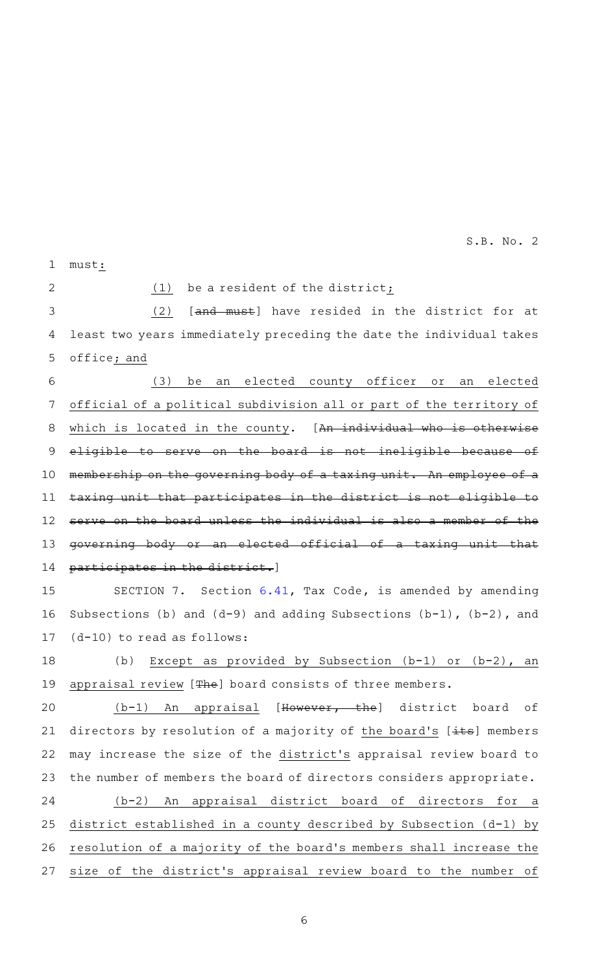must: 1

2

 $(1)$  be a resident of the district;

 $(2)$  [and must] have resided in the district for at least two years immediately preceding the date the individual takes office; and 3 4 5

(3) be an elected county officer or an elected official of a political subdivision all or part of the territory of which is located in the county. [An individual who is otherwise eligible to serve on the board is not ineligible because of membership on the governing body of a taxing unit. An employee of a taxing unit that participates in the district is not eligible to serve on the board unless the individual is also a member of the governing body or an elected official of a taxing unit that participates in the district.] 6 7 8 9 10 11 12 13 14

SECTION 7. Section  $6.41$ , Tax Code, is amended by amending Subsections (b) and  $(d-9)$  and adding Subsections  $(b-1)$ ,  $(b-2)$ , and (d-10) to read as follows: 15 16 17

(b) Except as provided by Subsection  $(b-1)$  or  $(b-2)$ , an appraisal review [The] board consists of three members. 18 19

 $(b-1)$  An appraisal [However, the] district board of directors by resolution of a majority of the board's  $[\pm \text{ts}]$  members may increase the size of the district 's appraisal review board to the number of members the board of directors considers appropriate. 20 21 22 23

(b-2) An appraisal district board of directors for a district established in a county described by Subsection (d-1) by resolution of a majority of the board 's members shall increase the size of the district 's appraisal review board to the number of 24 25 26 27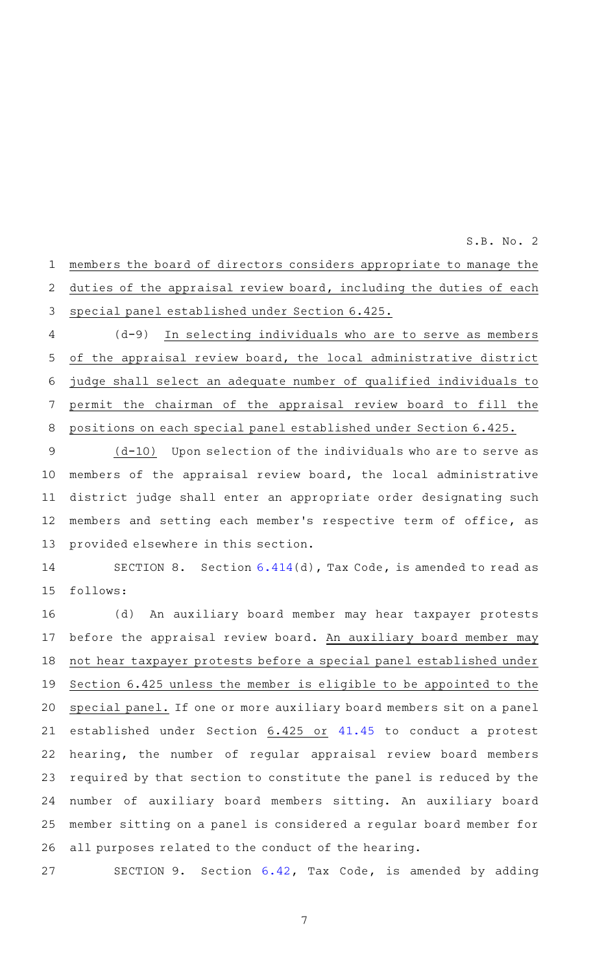members the board of directors considers appropriate to manage the duties of the appraisal review board, including the duties of each special panel established under Section 6.425. 1 2 3

(d-9) In selecting individuals who are to serve as members of the appraisal review board, the local administrative district judge shall select an adequate number of qualified individuals to permit the chairman of the appraisal review board to fill the positions on each special panel established under Section 6.425. 4 5 6 7 8

 $(d-10)$  Upon selection of the individuals who are to serve as members of the appraisal review board, the local administrative district judge shall enter an appropriate order designating such members and setting each member 's respective term of office, as provided elsewhere in this section. 9 10 11 12 13

SECTION 8. Section  $6.414(d)$  $6.414(d)$ , Tax Code, is amended to read as follows: 14 15

(d) An auxiliary board member may hear taxpayer protests before the appraisal review board. An auxiliary board member may not hear taxpayer protests before a special panel established under Section 6.425 unless the member is eligible to be appointed to the special panel. If one or more auxiliary board members sit on a panel established under Section 6.425 or [41.45](http://www.statutes.legis.state.tx.us/GetStatute.aspx?Code=TX&Value=41.45&Date=11/29/2016) to conduct a protest hearing, the number of regular appraisal review board members required by that section to constitute the panel is reduced by the number of auxiliary board members sitting. An auxiliary board member sitting on a panel is considered a regular board member for all purposes related to the conduct of the hearing. 16 17 18 19 20 21 22 23 24 25 26

SECTION 9. Section [6.42](http://www.statutes.legis.state.tx.us/GetStatute.aspx?Code=TX&Value=6.42&Date=11/29/2016), Tax Code, is amended by adding 27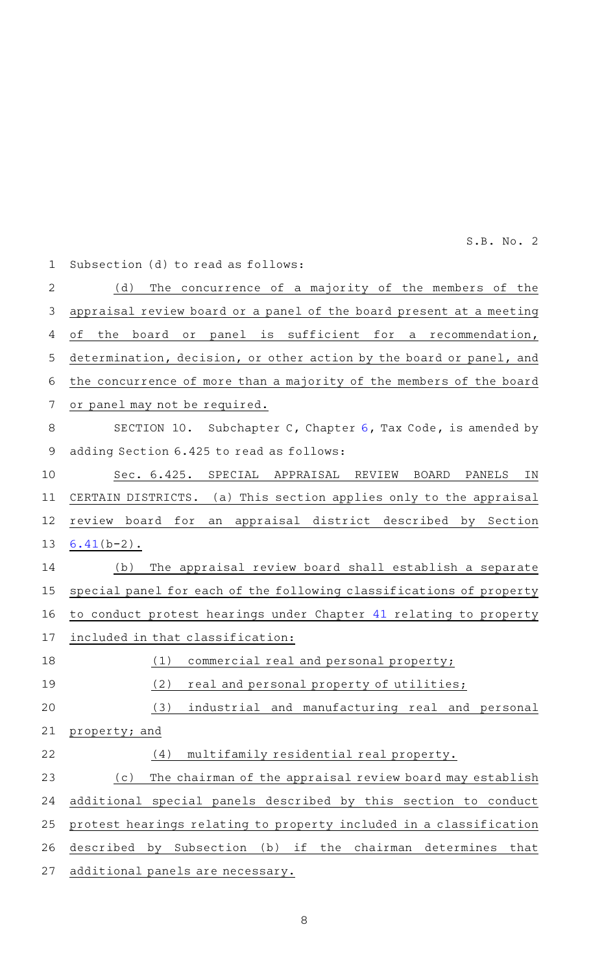| $\mathbf 1$    | Subsection (d) to read as follows:                                            |
|----------------|-------------------------------------------------------------------------------|
| $\overline{2}$ | (d)<br>The concurrence of a majority of the members of the                    |
| 3              | appraisal review board or a panel of the board present at a meeting           |
| 4              | is sufficient for a recommendation,<br>оf<br>the<br>board or panel            |
| 5              | determination, decision, or other action by the board or panel, and           |
| 6              | the concurrence of more than a majority of the members of the board           |
| 7              | or panel may not be required.                                                 |
| 8              | SECTION 10. Subchapter C, Chapter 6, Tax Code, is amended by                  |
| $\mathsf 9$    | adding Section 6.425 to read as follows:                                      |
| 10             | Sec. 6.425. SPECIAL<br>APPRAISAL REVIEW<br>BOARD<br>PANELS<br>ΙN              |
| 11             | CERTAIN DISTRICTS. (a) This section applies only to the appraisal             |
| 12             | review board for<br>an appraisal district described by Section                |
| 13             | $6.41(b-2)$ .                                                                 |
| 14             | The appraisal review board shall establish a separate<br>(b)                  |
| 15             | special panel for each of the following classifications of property           |
| 16             | to conduct protest hearings under Chapter 41 relating to property             |
| 17             | included in that classification:                                              |
| 18             | commercial real and personal property;<br>(1)                                 |
| 19             | (2)<br>real and personal property of utilities;                               |
| 20             | (3)<br>industrial and manufacturing real and<br>personal                      |
| 21             | property; and                                                                 |
| 22             | multifamily residential real property.<br>(4)                                 |
| 23             | The chairman of the appraisal review board may establish<br>(c)               |
| 24             | additional special panels described by this section to conduct                |
| 25             | protest hearings relating to property included in a classification            |
| 26             | described<br>by Subsection<br>chairman determines<br>(b)<br>if<br>the<br>that |
| 27             | additional panels are necessary.                                              |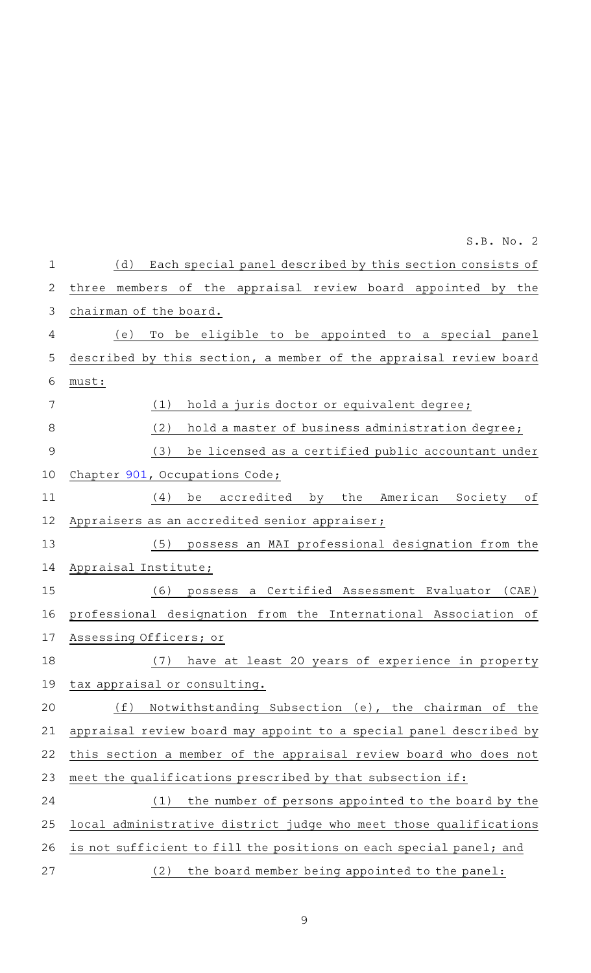|                | S.B. No. 2                                                            |
|----------------|-----------------------------------------------------------------------|
| 1              | Each special panel described by this section consists of<br>(d)       |
| $\overline{2}$ | of the appraisal review board appointed by<br>members<br>the<br>three |
| 3              | chairman of the board.                                                |
| 4              | To be eligible to be appointed to a special panel<br>(e)              |
| 5              | described by this section, a member of the appraisal review board     |
| 6              | must:                                                                 |
| 7              | (1)<br>hold a juris doctor or equivalent degree;                      |
| $\,8\,$        | (2)<br>hold a master of business administration degree;               |
| $\mathcal{G}$  | (3)<br>be licensed as a certified public accountant under             |
| 10             | Chapter 901, Occupations Code;                                        |
| 11             | accredited<br>American Society<br>(4)<br>be<br>by<br>the<br>оf        |
| 12             | Appraisers as an accredited senior appraiser;                         |
| 13             | possess an MAI professional designation from the<br>(5)               |
| 14             | Appraisal Institute;                                                  |
| 15             | possess a Certified Assessment Evaluator (CAE)<br>(6)                 |
| 16             | professional designation from the International Association of        |
| 17             | Assessing Officers; or                                                |
| 18             | (7)<br>have at least 20 years of experience in property               |
| 19             | tax appraisal or consulting.                                          |
| 20             | Notwithstanding Subsection (e), the chairman of the<br>(f)            |
| 21             | appraisal review board may appoint to a special panel described by    |
| 22             | this section a member of the appraisal review board who does not      |
| 23             | meet the qualifications prescribed by that subsection if:             |
| 24             | the number of persons appointed to the board by the<br>(1)            |
| 25             | local administrative district judge who meet those qualifications     |
| 26             | is not sufficient to fill the positions on each special panel; and    |
| 27             | the board member being appointed to the panel:<br>(2)                 |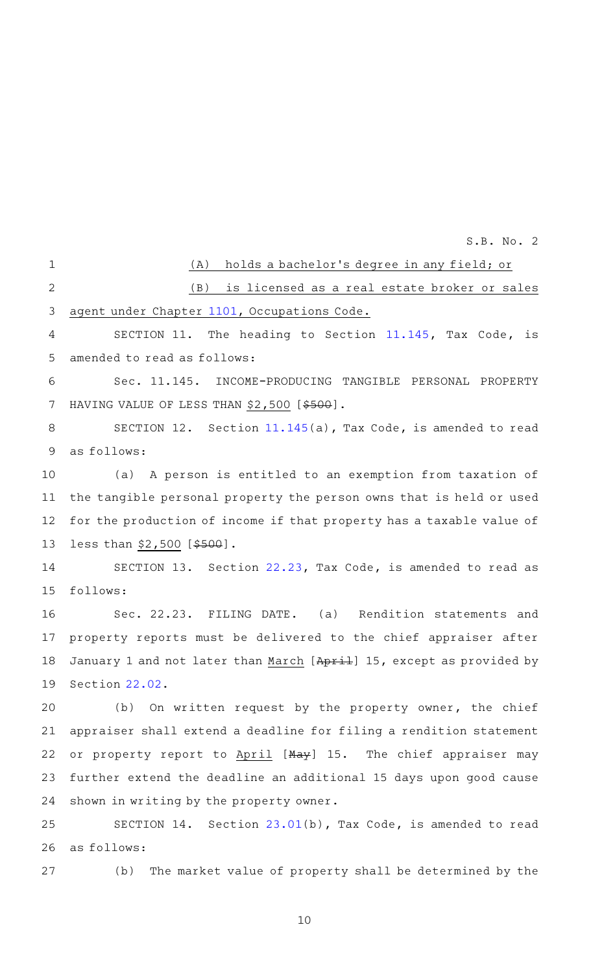(A) holds a bachelor's degree in any field; or (B) is licensed as a real estate broker or sales agent under Chapter [1101,](http://www.statutes.legis.state.tx.us/GetStatute.aspx?Code=OC&Value=1101&Date=11/29/2016) Occupations Code. SECTION 11. The heading to Section [11.145,](http://www.statutes.legis.state.tx.us/GetStatute.aspx?Code=TX&Value=11.145&Date=11/29/2016) Tax Code, is amended to read as follows: Sec. 11.145. INCOME-PRODUCING TANGIBLE PERSONAL PROPERTY HAVING VALUE OF LESS THAN \$2,500 [\$500]. SECTION 12. Section [11.145](http://www.statutes.legis.state.tx.us/GetStatute.aspx?Code=TX&Value=11.145&Date=11/29/2016)(a), Tax Code, is amended to read as follows: (a) A person is entitled to an exemption from taxation of the tangible personal property the person owns that is held or used for the production of income if that property has a taxable value of less than \$2,500 [\$500]. SECTION 13. Section [22.23,](http://www.statutes.legis.state.tx.us/GetStatute.aspx?Code=TX&Value=22.23&Date=11/29/2016) Tax Code, is amended to read as follows: Sec. 22.23. FILING DATE. (a) Rendition statements and property reports must be delivered to the chief appraiser after January 1 and not later than March [April] 15, except as provided by Section [22.02.](http://www.statutes.legis.state.tx.us/GetStatute.aspx?Code=TX&Value=22.02&Date=11/29/2016) (b) On written request by the property owner, the chief appraiser shall extend a deadline for filing a rendition statement or property report to April [May] 15. The chief appraiser may further extend the deadline an additional 15 days upon good cause shown in writing by the property owner. SECTION 14. Section [23.01\(](http://www.statutes.legis.state.tx.us/GetStatute.aspx?Code=TX&Value=23.01&Date=11/29/2016)b), Tax Code, is amended to read as follows: (b) The market value of property shall be determined by the 1 2 3 4 5 6 7 8 9 10 11 12 13 14 15 16 17 18 19 20 21 22 23 24 25 26 27 S.B. No. 2 10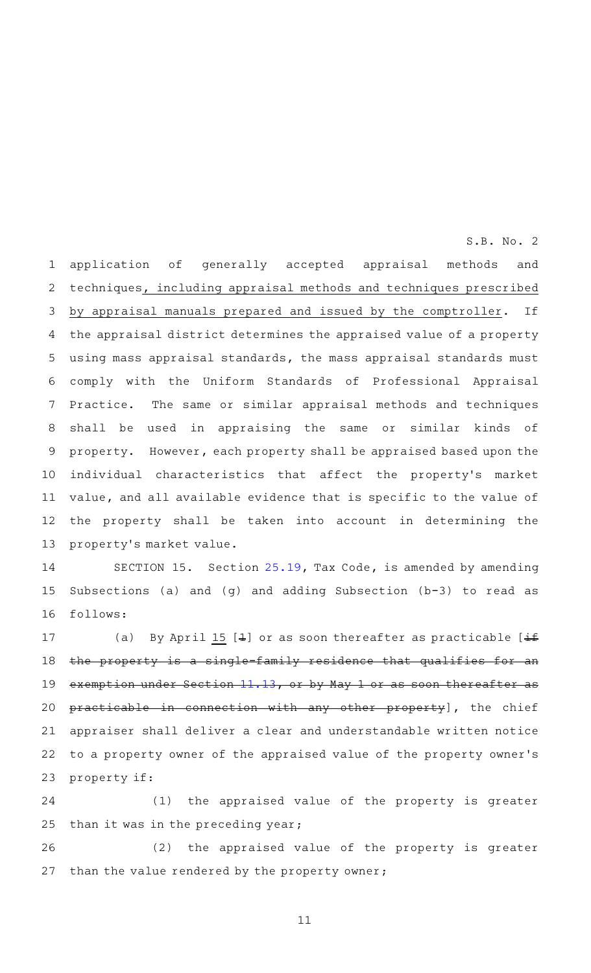application of generally accepted appraisal methods and techniques, including appraisal methods and techniques prescribed by appraisal manuals prepared and issued by the comptroller. If the appraisal district determines the appraised value of a property using mass appraisal standards, the mass appraisal standards must comply with the Uniform Standards of Professional Appraisal Practice. The same or similar appraisal methods and techniques shall be used in appraising the same or similar kinds of property. However, each property shall be appraised based upon the individual characteristics that affect the property's market value, and all available evidence that is specific to the value of the property shall be taken into account in determining the property's market value. 1 2 3 4 5 6 7 8 9 10 11 12 13

S.B. No. 2

SECTION 15. Section [25.19,](http://www.statutes.legis.state.tx.us/GetStatute.aspx?Code=TX&Value=25.19&Date=11/29/2016) Tax Code, is amended by amending Subsections (a) and (g) and adding Subsection (b-3) to read as follows: 14 15 16

(a) By April 15 [ $\pm$ ] or as soon thereafter as practicable [ $\pm$ f] the property is a single-family residence that qualifies for an exemption under Section [11.13,](http://www.statutes.legis.state.tx.us/GetStatute.aspx?Code=TX&Value=11.13&Date=11/29/2016) or by May 1 or as soon thereafter as practicable in connection with any other property], the chief appraiser shall deliver a clear and understandable written notice to a property owner of the appraised value of the property owner 's property if: 17 18 19 20 21 22 23

(1) the appraised value of the property is greater than it was in the preceding year; 24 25

(2) the appraised value of the property is greater than the value rendered by the property owner; 26 27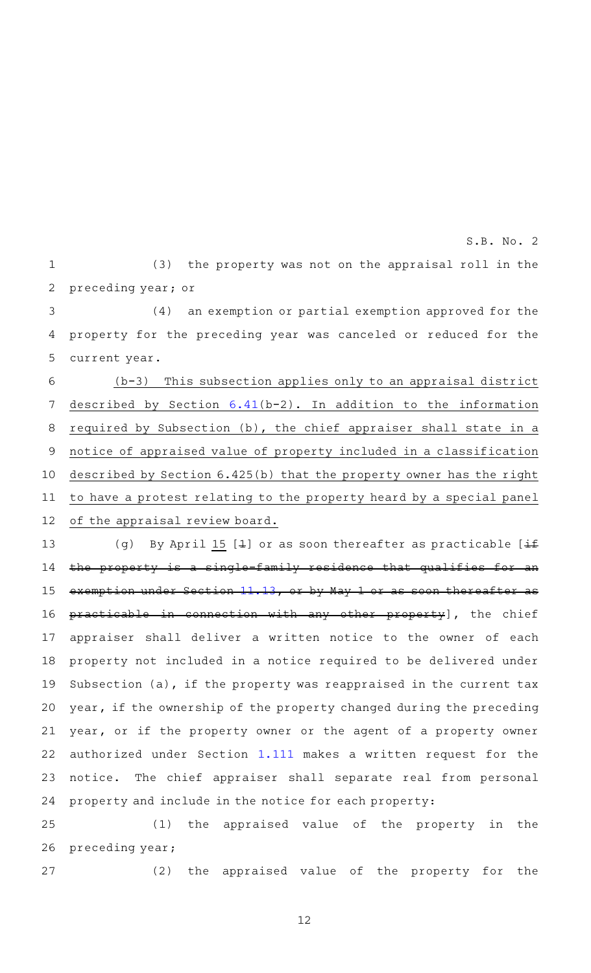$(3)$  the property was not on the appraisal roll in the preceding year; or 1 2 S.B. No. 2

 $(4)$  an exemption or partial exemption approved for the property for the preceding year was canceled or reduced for the current year. 3 4 5

 $(b-3)$  This subsection applies only to an appraisal district described by Section  $6.41(b-2)$  $6.41(b-2)$ . In addition to the information required by Subsection (b), the chief appraiser shall state in a notice of appraised value of property included in a classification described by Section 6.425(b) that the property owner has the right to have a protest relating to the property heard by a special panel of the appraisal review board. 6 7 8 9 10 11 12

(g) By April 15 [4] or as soon thereafter as practicable  $[\pm f]$ the property is a single-family residence that qualifies for an exemption under Section [11.13,](http://www.statutes.legis.state.tx.us/GetStatute.aspx?Code=TX&Value=11.13&Date=11/29/2016) or by May 1 or as soon thereafter as practicable in connection with any other property], the chief appraiser shall deliver a written notice to the owner of each property not included in a notice required to be delivered under Subsection (a), if the property was reappraised in the current tax year, if the ownership of the property changed during the preceding year, or if the property owner or the agent of a property owner authorized under Section [1.111](http://www.statutes.legis.state.tx.us/GetStatute.aspx?Code=TX&Value=1.111&Date=11/29/2016) makes a written request for the notice. The chief appraiser shall separate real from personal property and include in the notice for each property: 13 14 15 16 17 18 19 20 21 22 23 24

(1) the appraised value of the property in the preceding year; 25 26

 $(2)$  the appraised value of the property for the 27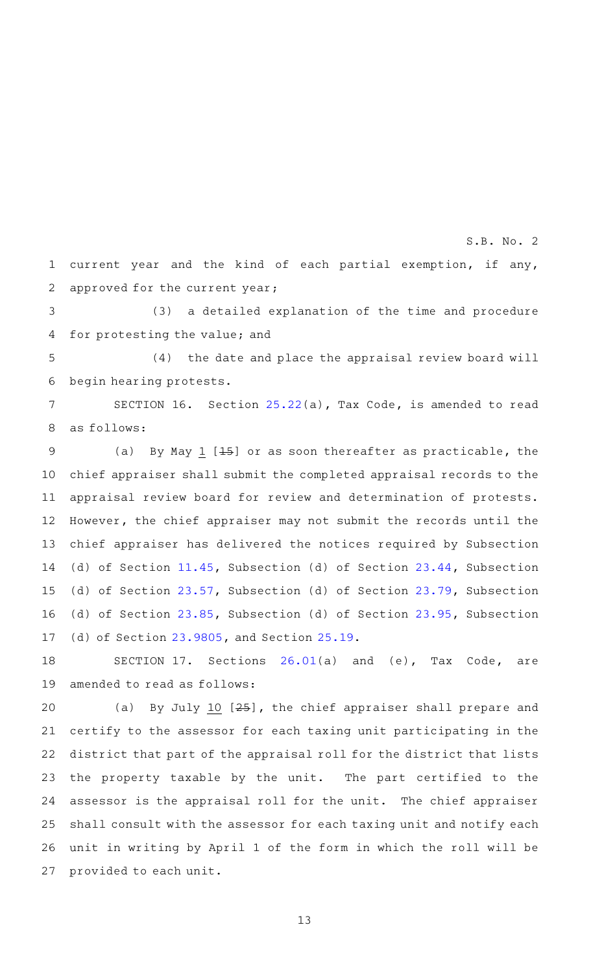current year and the kind of each partial exemption, if any, approved for the current year; 1 2

S.B. No. 2

(3) a detailed explanation of the time and procedure for protesting the value; and 3 4

(4) the date and place the appraisal review board will begin hearing protests. 5 6

SECTION 16. Section  $25.22(a)$  $25.22(a)$ , Tax Code, is amended to read as follows: 7 8

(a) By May 1  $[45]$  or as soon thereafter as practicable, the chief appraiser shall submit the completed appraisal records to the appraisal review board for review and determination of protests. However, the chief appraiser may not submit the records until the chief appraiser has delivered the notices required by Subsection (d) of Section [11.45](http://www.statutes.legis.state.tx.us/GetStatute.aspx?Code=TX&Value=11.45&Date=11/29/2016), Subsection (d) of Section [23.44,](http://www.statutes.legis.state.tx.us/GetStatute.aspx?Code=TX&Value=23.44&Date=11/29/2016) Subsection (d) of Section [23.57](http://www.statutes.legis.state.tx.us/GetStatute.aspx?Code=TX&Value=23.57&Date=11/29/2016), Subsection (d) of Section [23.79,](http://www.statutes.legis.state.tx.us/GetStatute.aspx?Code=TX&Value=23.79&Date=11/29/2016) Subsection (d) of Section [23.85](http://www.statutes.legis.state.tx.us/GetStatute.aspx?Code=TX&Value=23.85&Date=11/29/2016), Subsection (d) of Section [23.95,](http://www.statutes.legis.state.tx.us/GetStatute.aspx?Code=TX&Value=23.95&Date=11/29/2016) Subsection (d) of Section [23.9805,](http://www.statutes.legis.state.tx.us/GetStatute.aspx?Code=TX&Value=23.9805&Date=11/29/2016) and Section [25.19](http://www.statutes.legis.state.tx.us/GetStatute.aspx?Code=TX&Value=25.19&Date=11/29/2016). 9 10 11 12 13 14 15 16 17

SECTION 17. Sections  $26.01(a)$  $26.01(a)$  and  $(e)$ , Tax Code, are amended to read as follows: 18 19

(a) By July 10  $[25]$ , the chief appraiser shall prepare and certify to the assessor for each taxing unit participating in the district that part of the appraisal roll for the district that lists the property taxable by the unit. The part certified to the assessor is the appraisal roll for the unit. The chief appraiser shall consult with the assessor for each taxing unit and notify each unit in writing by April 1 of the form in which the roll will be provided to each unit. 20 21 22 23 24 25 26 27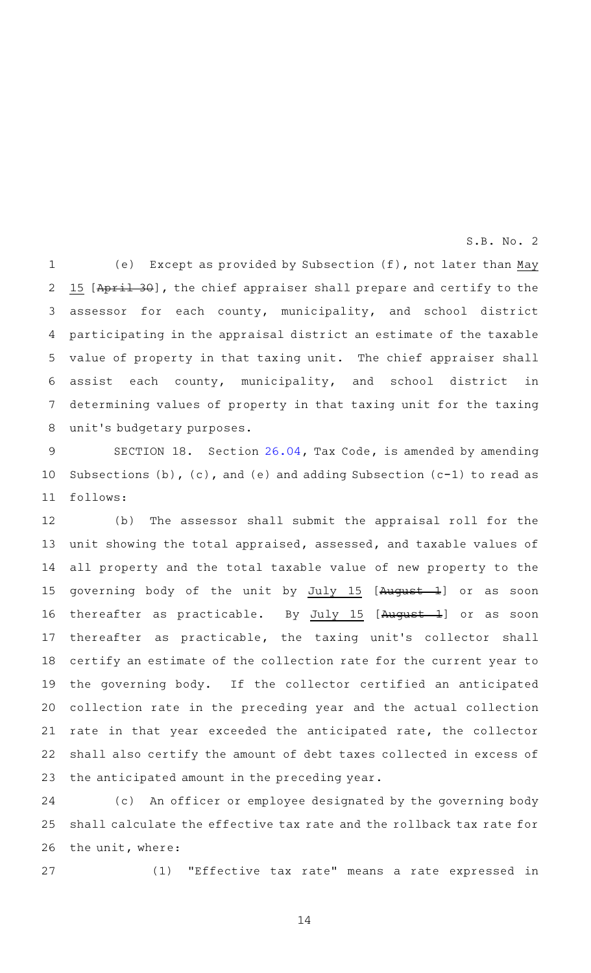(e) Except as provided by Subsection  $(f)$ , not later than May 15 [April 30], the chief appraiser shall prepare and certify to the assessor for each county, municipality, and school district participating in the appraisal district an estimate of the taxable value of property in that taxing unit. The chief appraiser shall assist each county, municipality, and school district in determining values of property in that taxing unit for the taxing unit 's budgetary purposes. 1 2 3 4 5 6 7 8

SECTION 18. Section [26.04,](http://www.statutes.legis.state.tx.us/GetStatute.aspx?Code=TX&Value=26.04&Date=11/29/2016) Tax Code, is amended by amending Subsections  $(b)$ ,  $(c)$ , and  $(e)$  and adding Subsection  $(c-1)$  to read as follows: 9 10 11

(b) The assessor shall submit the appraisal roll for the unit showing the total appraised, assessed, and taxable values of all property and the total taxable value of new property to the governing body of the unit by July 15 [August 1] or as soon thereafter as practicable. By  $July 15 [August-1]$  or as soon thereafter as practicable, the taxing unit 's collector shall certify an estimate of the collection rate for the current year to the governing body. If the collector certified an anticipated collection rate in the preceding year and the actual collection rate in that year exceeded the anticipated rate, the collector shall also certify the amount of debt taxes collected in excess of the anticipated amount in the preceding year. 12 13 14 15 16 17 18 19 20 21 22 23

(c) An officer or employee designated by the governing body shall calculate the effective tax rate and the rollback tax rate for the unit, where: 24 25 26

27

(1) "Effective tax rate" means a rate expressed in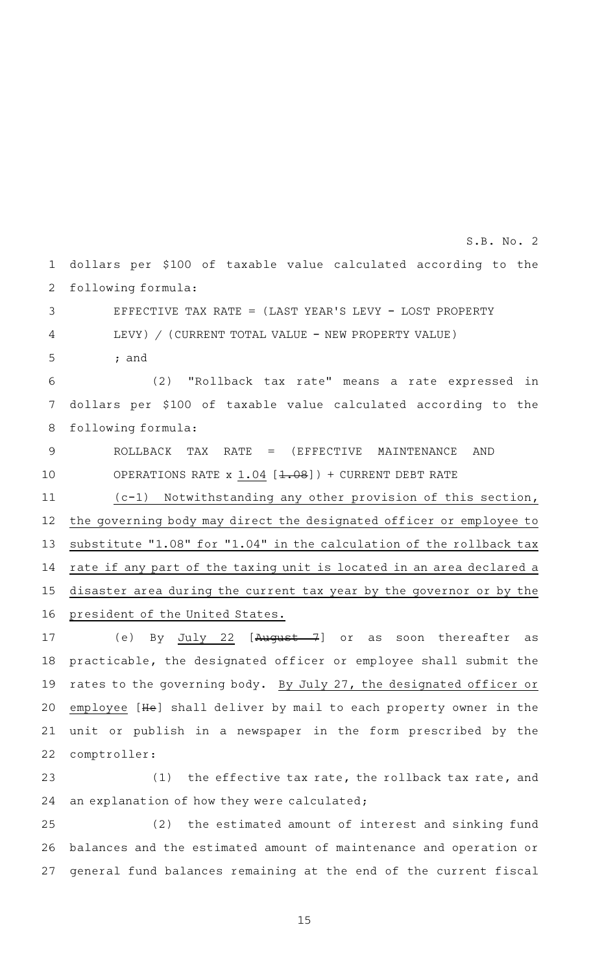dollars per \$100 of taxable value calculated according to the following formula: 1 2

EFFECTIVE TAX RATE = (LAST YEAR 'S LEVY - LOST PROPERTY LEVY) / (CURRENT TOTAL VALUE - NEW PROPERTY VALUE) ; and 3 4 5

(2) "Rollback tax rate" means a rate expressed in dollars per \$100 of taxable value calculated according to the following formula: 6 7 8

ROLLBACK TAX RATE = (EFFECTIVE MAINTENANCE AND OPERATIONS RATE  $x$  1.04 [1.08]) + CURRENT DEBT RATE 9 10

(c-1) Notwithstanding any other provision of this section, the governing body may direct the designated officer or employee to substitute "1.08" for "1.04" in the calculation of the rollback tax rate if any part of the taxing unit is located in an area declared a disaster area during the current tax year by the governor or by the president of the United States. 11 12 13 14 15 16

(e) By July 22 [August 7] or as soon thereafter as practicable, the designated officer or employee shall submit the rates to the governing body. By July 27, the designated officer or employee [He] shall deliver by mail to each property owner in the unit or publish in a newspaper in the form prescribed by the comptroller: 17 18 19 20 21 22

 $(1)$  the effective tax rate, the rollback tax rate, and an explanation of how they were calculated; 23 24

(2) the estimated amount of interest and sinking fund balances and the estimated amount of maintenance and operation or general fund balances remaining at the end of the current fiscal 25 26 27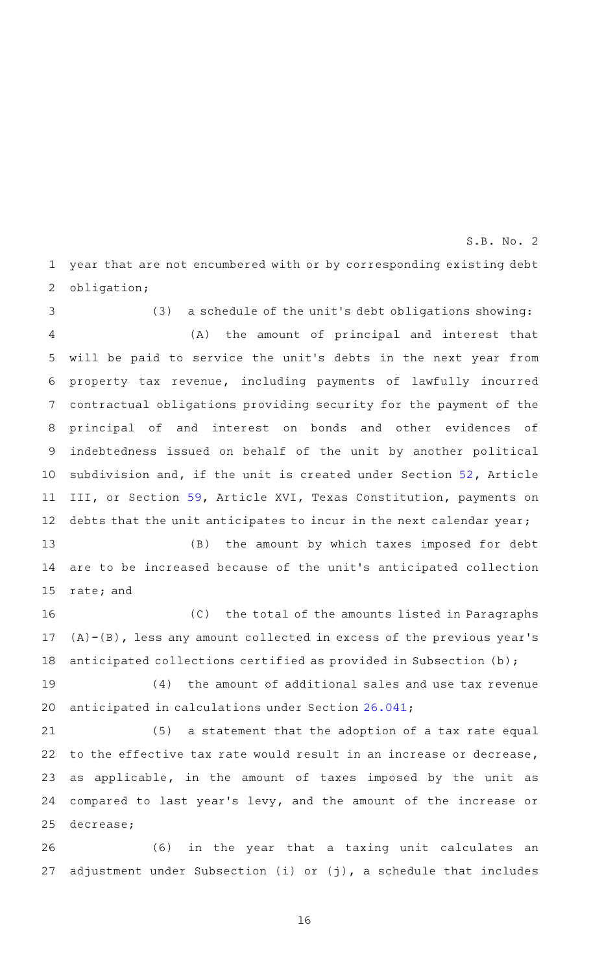year that are not encumbered with or by corresponding existing debt obligation; 1 2

(3) a schedule of the unit's debt obligations showing: (A) the amount of principal and interest that will be paid to service the unit 's debts in the next year from property tax revenue, including payments of lawfully incurred contractual obligations providing security for the payment of the principal of and interest on bonds and other evidences of indebtedness issued on behalf of the unit by another political subdivision and, if the unit is created under Section [52,](http://www.statutes.legis.state.tx.us/GetStatute.aspx?Code=CN&Value=3.52&Date=11/29/2016) Article III, or Section [59,](http://www.statutes.legis.state.tx.us/GetStatute.aspx?Code=CN&Value=16.59&Date=11/29/2016) Article XVI, Texas Constitution, payments on debts that the unit anticipates to incur in the next calendar year; 3 4 5 6 7 8 9 10 11 12

(B) the amount by which taxes imposed for debt are to be increased because of the unit 's anticipated collection rate; and 13 14 15

(C) the total of the amounts listed in Paragraphs  $(A) - (B)$ , less any amount collected in excess of the previous year's anticipated collections certified as provided in Subsection (b); 16 17 18

 $(4)$  the amount of additional sales and use tax revenue anticipated in calculations under Section [26.041;](http://www.statutes.legis.state.tx.us/GetStatute.aspx?Code=TX&Value=26.041&Date=11/29/2016) 19 20

(5) a statement that the adoption of a tax rate equal to the effective tax rate would result in an increase or decrease, as applicable, in the amount of taxes imposed by the unit as compared to last year 's levy, and the amount of the increase or decrease; 21 22 23 24 25

(6) in the year that a taxing unit calculates an adjustment under Subsection (i) or (j), a schedule that includes 26 27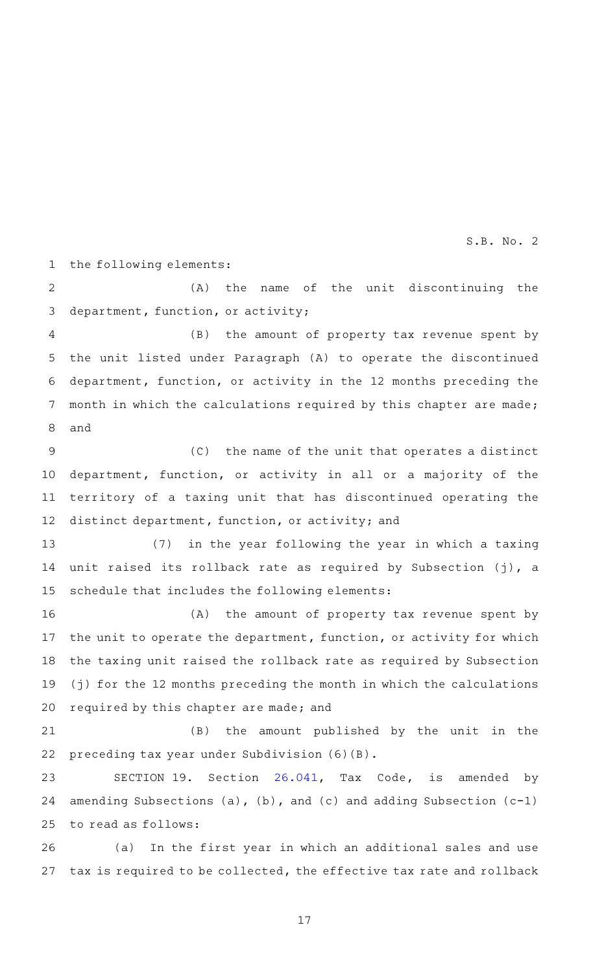the following elements: 1

(A) the name of the unit discontinuing the department, function, or activity; 2 3

(B) the amount of property tax revenue spent by the unit listed under Paragraph (A) to operate the discontinued department, function, or activity in the 12 months preceding the month in which the calculations required by this chapter are made; and 4 5 6 7 8

 $(C)$  the name of the unit that operates a distinct department, function, or activity in all or a majority of the territory of a taxing unit that has discontinued operating the distinct department, function, or activity; and 9 10 11 12

(7) in the year following the year in which a taxing unit raised its rollback rate as required by Subsection (j), a schedule that includes the following elements: 13 14 15

(A) the amount of property tax revenue spent by the unit to operate the department, function, or activity for which the taxing unit raised the rollback rate as required by Subsection (j) for the 12 months preceding the month in which the calculations required by this chapter are made; and 16 17 18 19 20

(B) the amount published by the unit in the preceding tax year under Subdivision (6)(B). 21 22

SECTION 19. Section [26.041](http://www.statutes.legis.state.tx.us/GetStatute.aspx?Code=TX&Value=26.041&Date=11/29/2016), Tax Code, is amended by amending Subsections (a), (b), and (c) and adding Subsection  $(c-1)$ to read as follows: 23 24 25

(a) In the first year in which an additional sales and use tax is required to be collected, the effective tax rate and rollback 26 27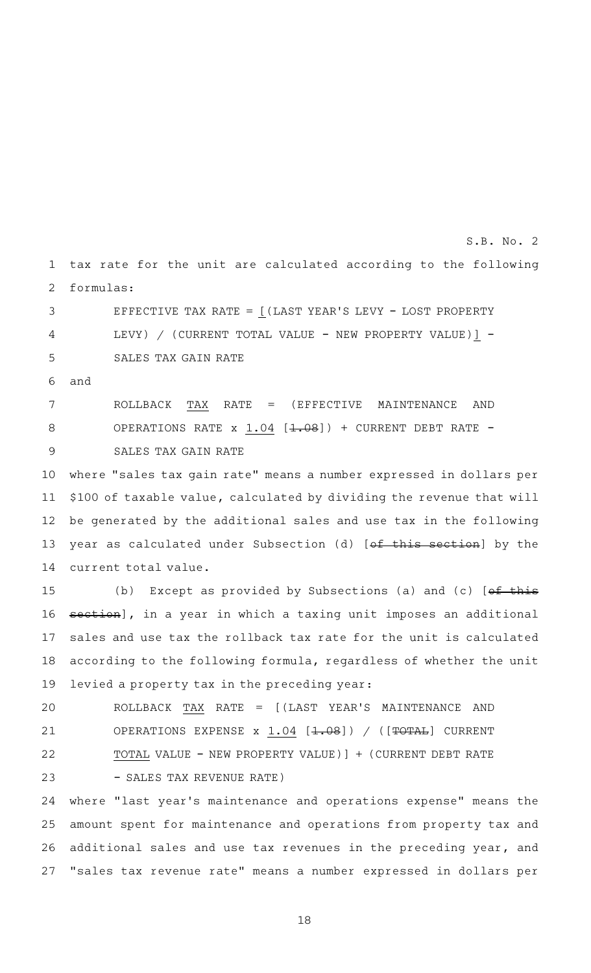tax rate for the unit are calculated according to the following formulas: 1 2

EFFECTIVE TAX RATE =  $($ LAST YEAR'S LEVY - LOST PROPERTY LEVY) / (CURRENT TOTAL VALUE - NEW PROPERTY VALUE)] -SALES TAX GAIN RATE 3 4 5

and 6

ROLLBACK TAX RATE = (EFFECTIVE MAINTENANCE AND OPERATIONS RATE  $x$  1.04 [<del>1.08</del>]) + CURRENT DEBT RATE -SALES TAX GAIN RATE 7 8 9

where "sales tax gain rate" means a number expressed in dollars per \$100 of taxable value, calculated by dividing the revenue that will be generated by the additional sales and use tax in the following year as calculated under Subsection (d) [of this section] by the current total value. 10 11 12 13 14

(b) Except as provided by Subsections (a) and (c)  $[ef~this]$ section], in a year in which a taxing unit imposes an additional sales and use tax the rollback tax rate for the unit is calculated according to the following formula, regardless of whether the unit levied a property tax in the preceding year: 15 16 17 18 19

ROLLBACK TAX RATE = [(LAST YEAR 'S MAINTENANCE AND OPERATIONS EXPENSE  $x \ 1.04$  [ $\div 08$ ]) / ([ $\overline{\div 0 \div 0 \bot}$ ] CURRENT TOTAL VALUE - NEW PROPERTY VALUE)] + (CURRENT DEBT RATE - SALES TAX REVENUE RATE) 20 21 22 23

where "last year 's maintenance and operations expense" means the amount spent for maintenance and operations from property tax and additional sales and use tax revenues in the preceding year, and "sales tax revenue rate" means a number expressed in dollars per 24 25 26 27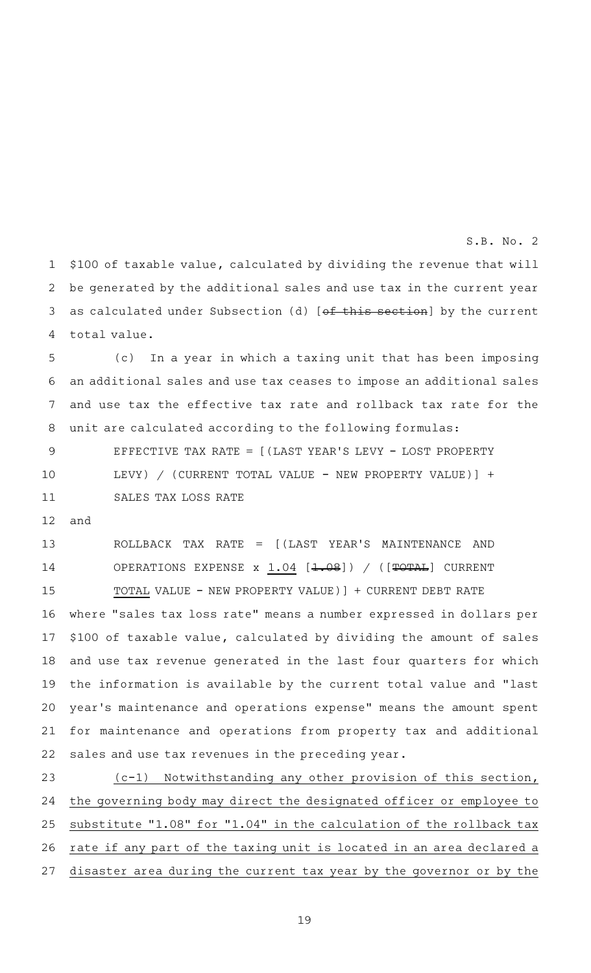\$100 of taxable value, calculated by dividing the revenue that will be generated by the additional sales and use tax in the current year as calculated under Subsection (d) [of this section] by the current total value. 1 2 3 4

(c) In a year in which a taxing unit that has been imposing an additional sales and use tax ceases to impose an additional sales and use tax the effective tax rate and rollback tax rate for the unit are calculated according to the following formulas: 5 6 7 8

EFFECTIVE TAX RATE =  $[$  (LAST YEAR'S LEVY - LOST PROPERTY LEVY) / (CURRENT TOTAL VALUE - NEW PROPERTY VALUE)] + SALES TAX LOSS RATE 9 10 11

and 12

ROLLBACK TAX RATE = [(LAST YEAR 'S MAINTENANCE AND OPERATIONS EXPENSE  $x$  1.04 [<del>1.08</del>]) / ([TOTAL] CURRENT TOTAL VALUE - NEW PROPERTY VALUE)] + CURRENT DEBT RATE where "sales tax loss rate" means a number expressed in dollars per \$100 of taxable value, calculated by dividing the amount of sales and use tax revenue generated in the last four quarters for which the information is available by the current total value and "last year 's maintenance and operations expense" means the amount spent for maintenance and operations from property tax and additional sales and use tax revenues in the preceding year. 13 14 15 16 17 18 19 20 21 22

 $(c-1)$  Notwithstanding any other provision of this section, the governing body may direct the designated officer or employee to substitute "1.08" for "1.04" in the calculation of the rollback tax rate if any part of the taxing unit is located in an area declared a disaster area during the current tax year by the governor or by the 23 24 25 26 27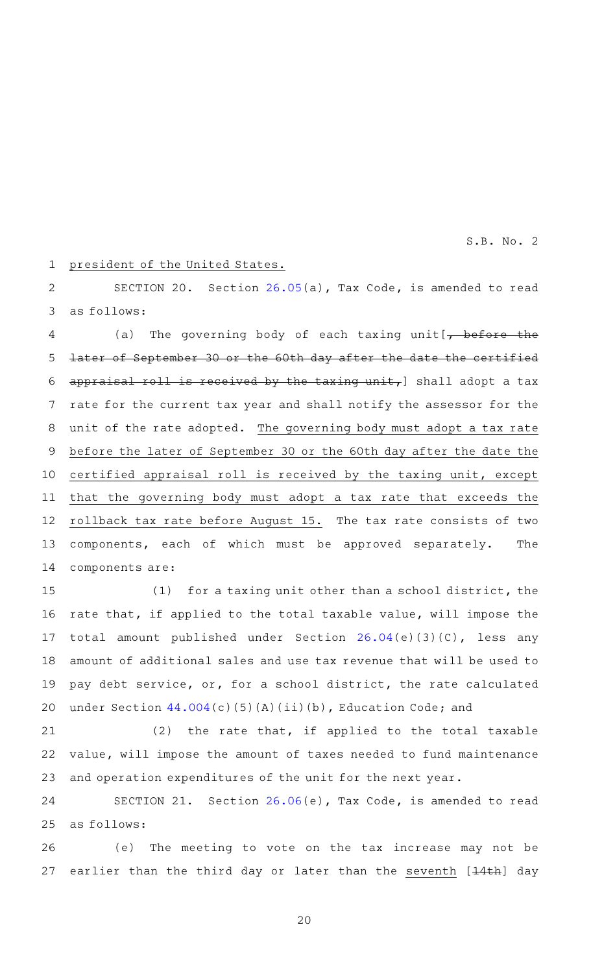#### president of the United States. 1

SECTION 20. Section [26.05\(](http://www.statutes.legis.state.tx.us/GetStatute.aspx?Code=TX&Value=26.05&Date=11/29/2016)a), Tax Code, is amended to read as follows: 2 3

(a) The governing body of each taxing unit  $\rightarrow$  before the later of September 30 or the 60th day after the date the certified appraisal roll is received by the taxing unit,  $]$  shall adopt a tax rate for the current tax year and shall notify the assessor for the unit of the rate adopted. The governing body must adopt a tax rate before the later of September 30 or the 60th day after the date the certified appraisal roll is received by the taxing unit, except that the governing body must adopt a tax rate that exceeds the rollback tax rate before August 15. The tax rate consists of two components, each of which must be approved separately. The components are: 4 5 6 7 8 9 10 11 12 13 14

(1) for a taxing unit other than a school district, the rate that, if applied to the total taxable value, will impose the total amount published under Section [26.04](http://www.statutes.legis.state.tx.us/GetStatute.aspx?Code=TX&Value=26.04&Date=11/29/2016)(e)(3)(C), less any amount of additional sales and use tax revenue that will be used to pay debt service, or, for a school district, the rate calculated under Section  $44.004(c)(5)(A)(ii)(b)$  $44.004(c)(5)(A)(ii)(b)$ , Education Code; and 15 16 17 18 19 20

 $(2)$  the rate that, if applied to the total taxable value, will impose the amount of taxes needed to fund maintenance and operation expenditures of the unit for the next year. 21 22 23

SECTION 21. Section [26.06\(](http://www.statutes.legis.state.tx.us/GetStatute.aspx?Code=TX&Value=26.06&Date=11/29/2016)e), Tax Code, is amended to read as follows: 24 25

(e) The meeting to vote on the tax increase may not be earlier than the third day or later than the seventh [14th] day 26 27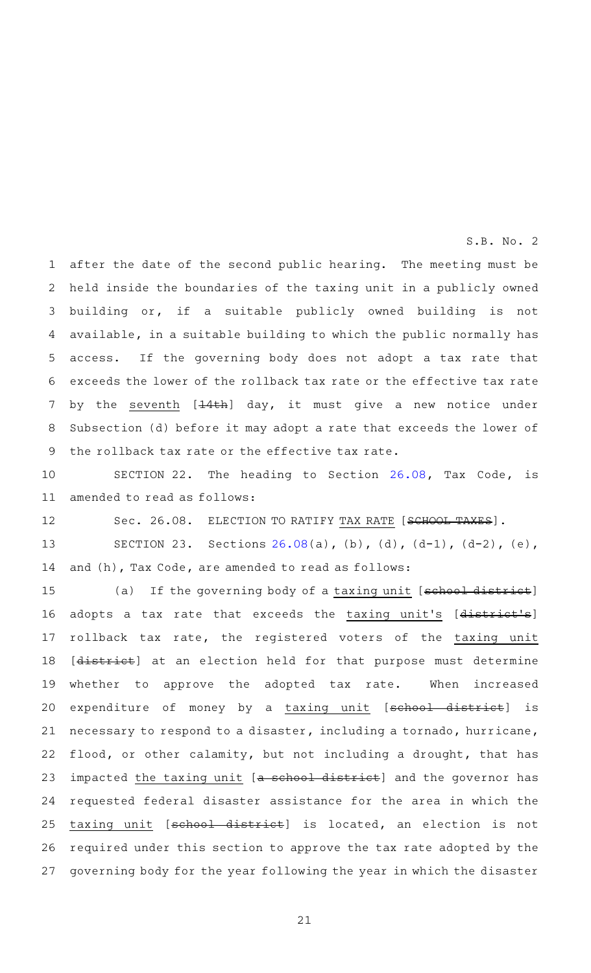after the date of the second public hearing. The meeting must be held inside the boundaries of the taxing unit in a publicly owned building or, if a suitable publicly owned building is not available, in a suitable building to which the public normally has access. If the governing body does not adopt a tax rate that exceeds the lower of the rollback tax rate or the effective tax rate by the seventh [<del>14th</del>] day, it must give a new notice under Subsection (d) before it may adopt a rate that exceeds the lower of the rollback tax rate or the effective tax rate. 1 2 3 4 5 6 7 8 9

SECTION 22. The heading to Section [26.08](http://www.statutes.legis.state.tx.us/GetStatute.aspx?Code=TX&Value=26.08&Date=11/29/2016), Tax Code, is amended to read as follows: 10 11

Sec. 26.08. ELECTION TO RATIFY TAX RATE [SCHOOL TAXES]. 12

SECTION 23. Sections [26.08](http://www.statutes.legis.state.tx.us/GetStatute.aspx?Code=TX&Value=26.08&Date=11/29/2016)(a), (b), (d),  $(d-1)$ ,  $(d-2)$ , (e), and (h), Tax Code, are amended to read as follows: 13 14

(a) If the governing body of a taxing unit [school district] adopts a tax rate that exceeds the taxing unit's [district's] rollback tax rate, the registered voters of the taxing unit [district] at an election held for that purpose must determine whether to approve the adopted tax rate. When increased expenditure of money by a taxing unit [school district] is necessary to respond to a disaster, including a tornado, hurricane, flood, or other calamity, but not including a drought, that has impacted the taxing unit [a school district] and the governor has requested federal disaster assistance for the area in which the taxing unit [school district] is located, an election is not required under this section to approve the tax rate adopted by the governing body for the year following the year in which the disaster 15 16 17 18 19 20 21 22 23 24 25 26 27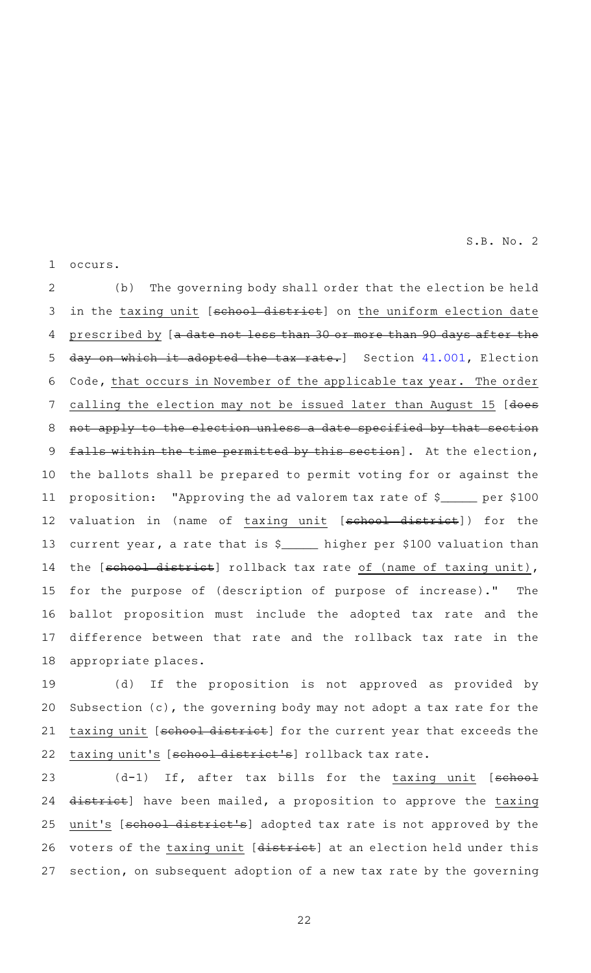occurs. 1

(b) The governing body shall order that the election be held in the taxing unit [school district] on the uniform election date prescribed by [a date not less than 30 or more than 90 days after the day on which it adopted the tax rate.] Section [41.001](http://www.statutes.legis.state.tx.us/GetStatute.aspx?Code=EL&Value=41.001&Date=11/29/2016), Election Code, that occurs in November of the applicable tax year. The order calling the election may not be issued later than August 15 [does not apply to the election unless a date specified by that section falls within the time permitted by this section]. At the election, the ballots shall be prepared to permit voting for or against the proposition: "Approving the ad valorem tax rate of  $\frac{1}{2}$  per \$100 valuation in (name of taxing unit [school district]) for the current year, a rate that is \$\_\_\_\_\_ higher per \$100 valuation than the [school district] rollback tax rate of (name of taxing unit), for the purpose of (description of purpose of increase)." The ballot proposition must include the adopted tax rate and the difference between that rate and the rollback tax rate in the appropriate places. 2 3 4 5 6 7 8 9 10 11 12 13 14 15 16 17 18

(d) If the proposition is not approved as provided by Subsection (c), the governing body may not adopt a tax rate for the taxing unit [school district] for the current year that exceeds the taxing unit's [school district's] rollback tax rate. 19 20 21 22

 $(d-1)$  If, after tax bills for the taxing unit [ $schoo1$ district] have been mailed, a proposition to approve the taxing unit's [school district's] adopted tax rate is not approved by the voters of the taxing unit [district] at an election held under this section, on subsequent adoption of a new tax rate by the governing 23 24 25 26 27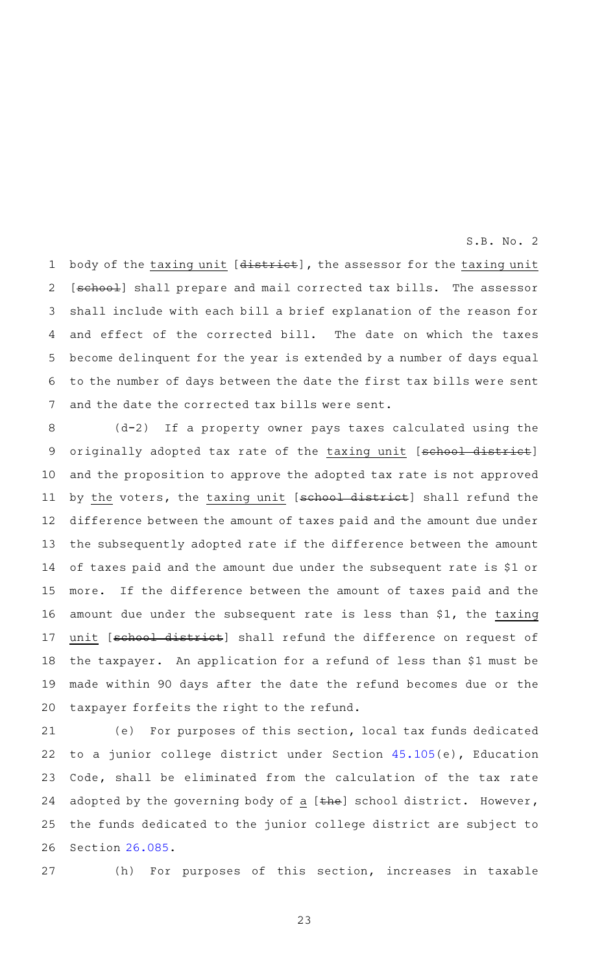body of the taxing unit [district], the assessor for the taxing unit [school] shall prepare and mail corrected tax bills. The assessor shall include with each bill a brief explanation of the reason for and effect of the corrected bill. The date on which the taxes become delinquent for the year is extended by a number of days equal to the number of days between the date the first tax bills were sent and the date the corrected tax bills were sent. 1 2 3 4 5 6 7

(d-2) If a property owner pays taxes calculated using the originally adopted tax rate of the taxing unit [school district] and the proposition to approve the adopted tax rate is not approved by the voters, the taxing unit [school district] shall refund the difference between the amount of taxes paid and the amount due under the subsequently adopted rate if the difference between the amount of taxes paid and the amount due under the subsequent rate is \$1 or more. If the difference between the amount of taxes paid and the amount due under the subsequent rate is less than \$1, the taxing unit [school district] shall refund the difference on request of the taxpayer. An application for a refund of less than \$1 must be made within 90 days after the date the refund becomes due or the taxpayer forfeits the right to the refund. 8 9 10 11 12 13 14 15 16 17 18 19 20

(e) For purposes of this section, local tax funds dedicated to a junior college district under Section [45.105\(](http://www.statutes.legis.state.tx.us/GetStatute.aspx?Code=ED&Value=45.105&Date=11/29/2016)e), Education Code, shall be eliminated from the calculation of the tax rate adopted by the governing body of a  $[$ the] school district. However, the funds dedicated to the junior college district are subject to Section [26.085](http://www.statutes.legis.state.tx.us/GetStatute.aspx?Code=TX&Value=26.085&Date=11/29/2016). 21 22 23 24 25 26

27

(h) For purposes of this section, increases in taxable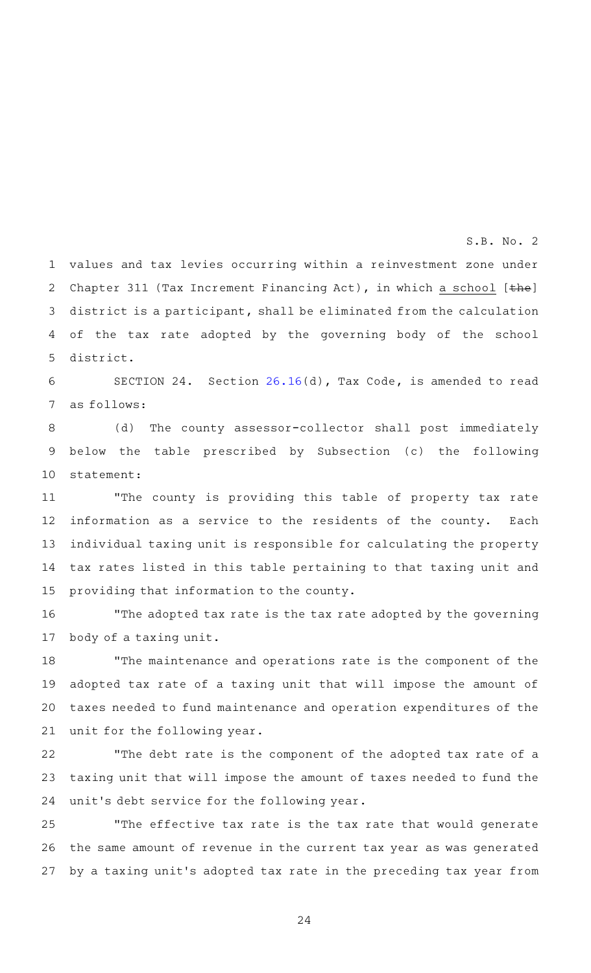values and tax levies occurring within a reinvestment zone under Chapter 311 (Tax Increment Financing Act), in which a school  $[the]$ district is a participant, shall be eliminated from the calculation of the tax rate adopted by the governing body of the school district. 1 2 3 4 5

S.B. No. 2

SECTION 24. Section [26.16\(](http://www.statutes.legis.state.tx.us/GetStatute.aspx?Code=TX&Value=26.16&Date=11/29/2016)d), Tax Code, is amended to read as follows:  $6 \overline{6}$ 7

(d) The county assessor-collector shall post immediately below the table prescribed by Subsection (c) the following statement: 8 9 10

"The county is providing this table of property tax rate information as a service to the residents of the county. Each individual taxing unit is responsible for calculating the property tax rates listed in this table pertaining to that taxing unit and providing that information to the county. 11 12 13 14 15

"The adopted tax rate is the tax rate adopted by the governing body of a taxing unit. 16 17

"The maintenance and operations rate is the component of the adopted tax rate of a taxing unit that will impose the amount of taxes needed to fund maintenance and operation expenditures of the unit for the following year. 18 19 20 21

"The debt rate is the component of the adopted tax rate of a taxing unit that will impose the amount of taxes needed to fund the unit 's debt service for the following year. 22 23 24

"The effective tax rate is the tax rate that would generate the same amount of revenue in the current tax year as was generated by a taxing unit 's adopted tax rate in the preceding tax year from 25 26 27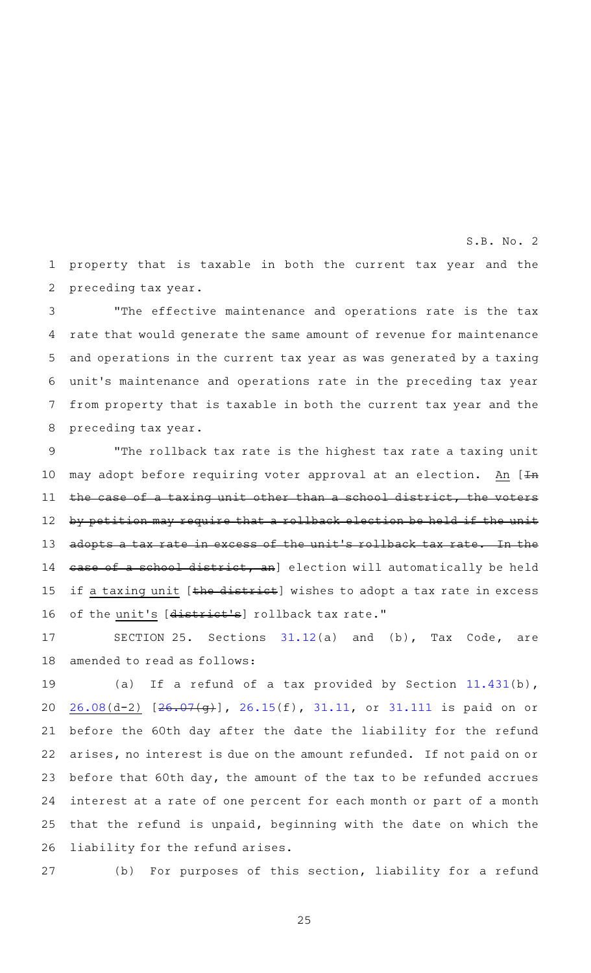property that is taxable in both the current tax year and the preceding tax year. 1 2

S.B. No. 2

"The effective maintenance and operations rate is the tax rate that would generate the same amount of revenue for maintenance and operations in the current tax year as was generated by a taxing unit 's maintenance and operations rate in the preceding tax year from property that is taxable in both the current tax year and the preceding tax year. 3 4 5 6 7 8

"The rollback tax rate is the highest tax rate a taxing unit may adopt before requiring voter approval at an election. An [In the case of a taxing unit other than a school district, the voters by petition may require that a rollback election be held if the unit adopts a tax rate in excess of the unit 's rollback tax rate. In the case of a school district, an] election will automatically be held if a taxing unit [the district] wishes to adopt a tax rate in excess of the unit's [district's] rollback tax rate." 9 10 11 12 13 14 15 16

SECTION 25. Sections  $31.12(a)$  $31.12(a)$  and (b), Tax Code, are amended to read as follows: 17 18

(a) If a refund of a tax provided by Section  $11.431(b)$  $11.431(b)$ , [26.08\(](http://www.statutes.legis.state.tx.us/GetStatute.aspx?Code=TX&Value=26.08&Date=11/29/2016)d-2) [[26.07](http://www.statutes.legis.state.tx.us/GetStatute.aspx?Code=TX&Value=26.07&Date=11/29/2016)(g)], [26.15\(](http://www.statutes.legis.state.tx.us/GetStatute.aspx?Code=TX&Value=26.15&Date=11/29/2016)f), [31.11](http://www.statutes.legis.state.tx.us/GetStatute.aspx?Code=TX&Value=31.11&Date=11/29/2016), or [31.111](http://www.statutes.legis.state.tx.us/GetStatute.aspx?Code=TX&Value=31.111&Date=11/29/2016) is paid on or before the 60th day after the date the liability for the refund arises, no interest is due on the amount refunded. If not paid on or before that 60th day, the amount of the tax to be refunded accrues interest at a rate of one percent for each month or part of a month that the refund is unpaid, beginning with the date on which the liability for the refund arises. 19 20 21 22 23 24 25 26

27

(b) For purposes of this section, liability for a refund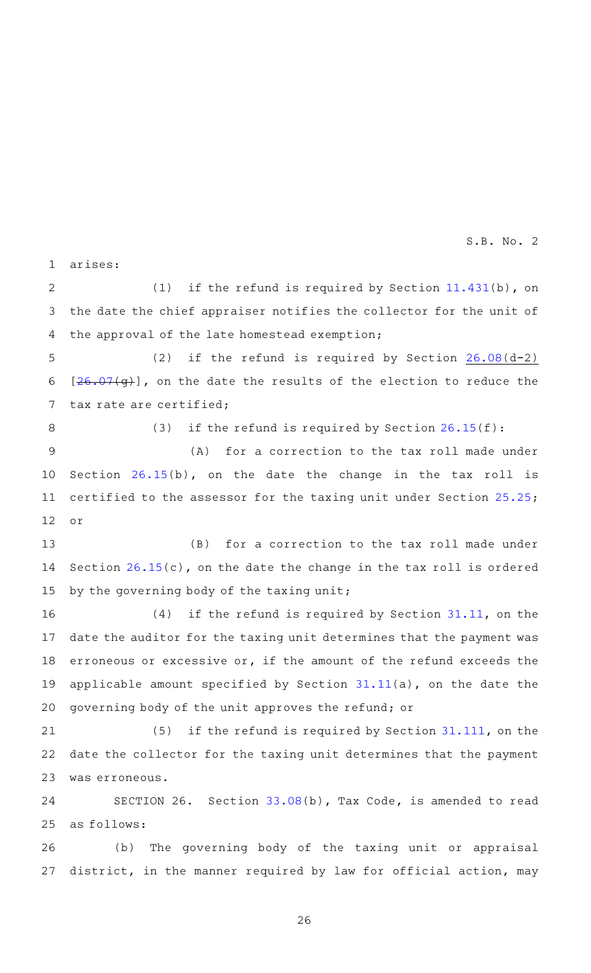arises: 1

(1) if the refund is required by Section  $11.431(b)$  $11.431(b)$ , on the date the chief appraiser notifies the collector for the unit of the approval of the late homestead exemption; 2 3 4

(2) if the refund is required by Section  $26.08(d-2)$  $26.08(d-2)$ [[26.07](http://www.statutes.legis.state.tx.us/GetStatute.aspx?Code=TX&Value=26.07&Date=11/29/2016)(g)], on the date the results of the election to reduce the tax rate are certified; 5 6 7

8

(3) if the refund is required by Section  $26.15(f)$  $26.15(f)$ :

 $(A)$  for a correction to the tax roll made under Section [26.15\(](http://www.statutes.legis.state.tx.us/GetStatute.aspx?Code=TX&Value=26.15&Date=11/29/2016)b), on the date the change in the tax roll is certified to the assessor for the taxing unit under Section [25.25](http://www.statutes.legis.state.tx.us/GetStatute.aspx?Code=TX&Value=25.25&Date=11/29/2016); or 9 10 11 12

(B) for a correction to the tax roll made under Section  $26.15(c)$  $26.15(c)$ , on the date the change in the tax roll is ordered by the governing body of the taxing unit; 13 14 15

 $(4)$  if the refund is required by Section [31.11,](http://www.statutes.legis.state.tx.us/GetStatute.aspx?Code=TX&Value=31.11&Date=11/29/2016) on the date the auditor for the taxing unit determines that the payment was erroneous or excessive or, if the amount of the refund exceeds the applicable amount specified by Section [31.11\(](http://www.statutes.legis.state.tx.us/GetStatute.aspx?Code=TX&Value=31.11&Date=11/29/2016)a), on the date the governing body of the unit approves the refund; or 16 17 18 19 20

(5) if the refund is required by Section  $31.111$ , on the date the collector for the taxing unit determines that the payment was erroneous. 21 22 23

SECTION 26. Section [33.08\(](http://www.statutes.legis.state.tx.us/GetStatute.aspx?Code=TX&Value=33.08&Date=11/29/2016)b), Tax Code, is amended to read as follows: 24 25

(b) The governing body of the taxing unit or appraisal district, in the manner required by law for official action, may 26 27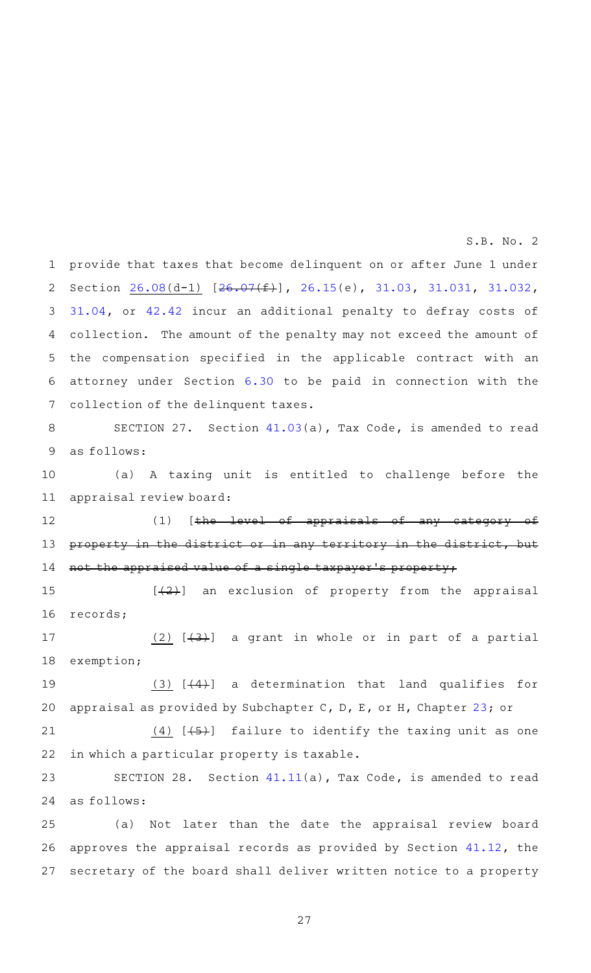provide that taxes that become delinquent on or after June 1 under Section [26.08\(](http://www.statutes.legis.state.tx.us/GetStatute.aspx?Code=TX&Value=26.08&Date=11/29/2016)d-1) [\[26.07](http://www.statutes.legis.state.tx.us/GetStatute.aspx?Code=TX&Value=26.07&Date=11/29/2016)(f)], [26.15\(](http://www.statutes.legis.state.tx.us/GetStatute.aspx?Code=TX&Value=26.15&Date=11/29/2016)e), [31.03](http://www.statutes.legis.state.tx.us/GetStatute.aspx?Code=TX&Value=31.03&Date=11/29/2016), [31.031](http://www.statutes.legis.state.tx.us/GetStatute.aspx?Code=TX&Value=31.031&Date=11/29/2016), [31.032](http://www.statutes.legis.state.tx.us/GetStatute.aspx?Code=TX&Value=31.032&Date=11/29/2016), [31.04,](http://www.statutes.legis.state.tx.us/GetStatute.aspx?Code=TX&Value=31.04&Date=11/29/2016) or [42.42](http://www.statutes.legis.state.tx.us/GetStatute.aspx?Code=TX&Value=42.42&Date=11/29/2016) incur an additional penalty to defray costs of collection. The amount of the penalty may not exceed the amount of the compensation specified in the applicable contract with an attorney under Section [6.30](http://www.statutes.legis.state.tx.us/GetStatute.aspx?Code=TX&Value=6.30&Date=11/29/2016) to be paid in connection with the collection of the delinquent taxes. 1 2 3 4 5 6 7

SECTION 27. Section [41.03\(](http://www.statutes.legis.state.tx.us/GetStatute.aspx?Code=TX&Value=41.03&Date=11/29/2016)a), Tax Code, is amended to read as follows: 8 9

(a) A taxing unit is entitled to challenge before the appraisal review board: 10 11

 $(1)$  [the level of appraisals of any category of property in the district or in any territory in the district, but not the appraised value of a single taxpayer 's property; 12 13 14

 $[\frac{1}{2}]$  an exclusion of property from the appraisal records; 15 16

(2)  $[$   $(3)$  a grant in whole or in part of a partial exemption; 17 18

(3)  $[$  (4)</sub> $]$  a determination that land qualifies for appraisal as provided by Subchapter C, D, E, or H, Chapter [23;](http://www.statutes.legis.state.tx.us/GetStatute.aspx?Code=TX&Value=23&Date=11/29/2016) or 19 20

 $(4)$  [ $(5)$ ] failure to identify the taxing unit as one in which a particular property is taxable. 21 22

SECTION 28. Section  $41.11(a)$  $41.11(a)$ , Tax Code, is amended to read as follows: 23 24

(a) Not later than the date the appraisal review board approves the appraisal records as provided by Section [41.12,](http://www.statutes.legis.state.tx.us/GetStatute.aspx?Code=TX&Value=41.12&Date=11/29/2016) the secretary of the board shall deliver written notice to a property 25 26 27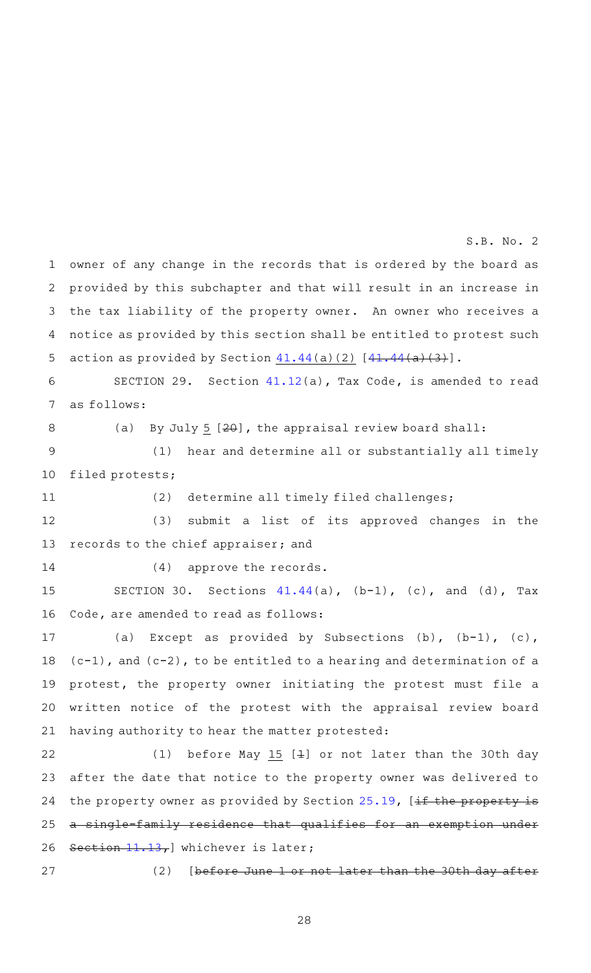owner of any change in the records that is ordered by the board as provided by this subchapter and that will result in an increase in the tax liability of the property owner. An owner who receives a notice as provided by this section shall be entitled to protest such action as provided by Section  $41.44(a)(2)$  $41.44(a)(2)$   $[41.44(a)(3)]$  $[41.44(a)(3)]$ . 1 2 3 4 5

S.B. No. 2

SECTION 29. Section  $41.12(a)$  $41.12(a)$ , Tax Code, is amended to read as follows: 6 7

8

(a) By July 5  $[20]$ , the appraisal review board shall:

(1) hear and determine all or substantially all timely filed protests; 9 10

11

(2) determine all timely filed challenges;

(3) submit a list of its approved changes in the records to the chief appraiser; and 12 13

14

 $(4)$  approve the records.

SECTION 30. Sections  $41.44(a)$  $41.44(a)$ ,  $(b-1)$ ,  $(c)$ , and  $(d)$ , Tax Code, are amended to read as follows: 15 16

(a) Except as provided by Subsections (b),  $(b-1)$ , (c),  $(c-1)$ , and  $(c-2)$ , to be entitled to a hearing and determination of a protest, the property owner initiating the protest must file a written notice of the protest with the appraisal review board having authority to hear the matter protested: 17 18 19 20 21

(1) before May 15  $[4]$  or not later than the 30th day after the date that notice to the property owner was delivered to the property owner as provided by Section  $25.19$ , [if the property is a single-family residence that qualifies for an exemption under Section  $11.13$ , whichever is later; 22 23 24 25 26

27

(2) [before June 1 or not later than the 30th day after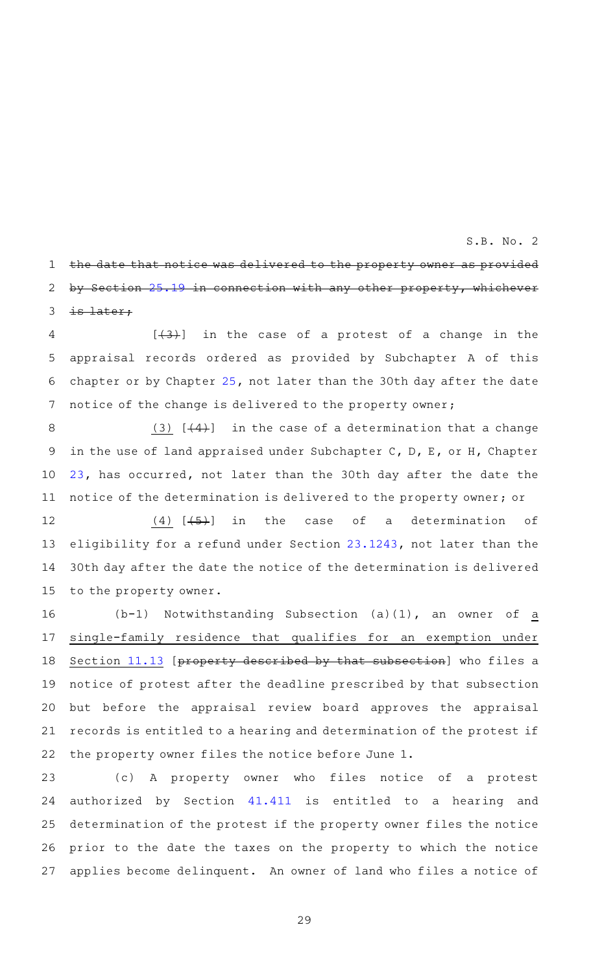the date that notice was delivered to the property owner as provided by Section [25.19](http://www.statutes.legis.state.tx.us/GetStatute.aspx?Code=TX&Value=25.19&Date=11/29/2016) in connection with any other property, whichever is later; 1 2 3

 $[43+]$  in the case of a protest of a change in the appraisal records ordered as provided by Subchapter A of this chapter or by Chapter [25,](http://www.statutes.legis.state.tx.us/GetStatute.aspx?Code=TX&Value=25&Date=11/29/2016) not later than the 30th day after the date notice of the change is delivered to the property owner; 4 5 6 7

(3)  $[44]$  in the case of a determination that a change in the use of land appraised under Subchapter C, D, E, or H, Chapter [23](http://www.statutes.legis.state.tx.us/GetStatute.aspx?Code=TX&Value=23&Date=11/29/2016), has occurred, not later than the 30th day after the date the notice of the determination is delivered to the property owner; or 8 9 10 11

(4)  $[4, 5]$  in the case of a determination of eligibility for a refund under Section [23.1243,](http://www.statutes.legis.state.tx.us/GetStatute.aspx?Code=TX&Value=23.1243&Date=11/29/2016) not later than the 30th day after the date the notice of the determination is delivered to the property owner. 12 13 14 15

(b-1) Notwithstanding Subsection (a)(1), an owner of  $\underline{a}$ single-family residence that qualifies for an exemption under Section [11.13](http://www.statutes.legis.state.tx.us/GetStatute.aspx?Code=TX&Value=11.13&Date=11/29/2016) [property described by that subsection] who files a notice of protest after the deadline prescribed by that subsection but before the appraisal review board approves the appraisal records is entitled to a hearing and determination of the protest if the property owner files the notice before June 1. 16 17 18 19 20 21 22

(c)AAA property owner who files notice of a protest authorized by Section [41.411](http://www.statutes.legis.state.tx.us/GetStatute.aspx?Code=TX&Value=41.411&Date=11/29/2016) is entitled to a hearing and determination of the protest if the property owner files the notice prior to the date the taxes on the property to which the notice applies become delinquent. An owner of land who files a notice of 23 24 25 26 27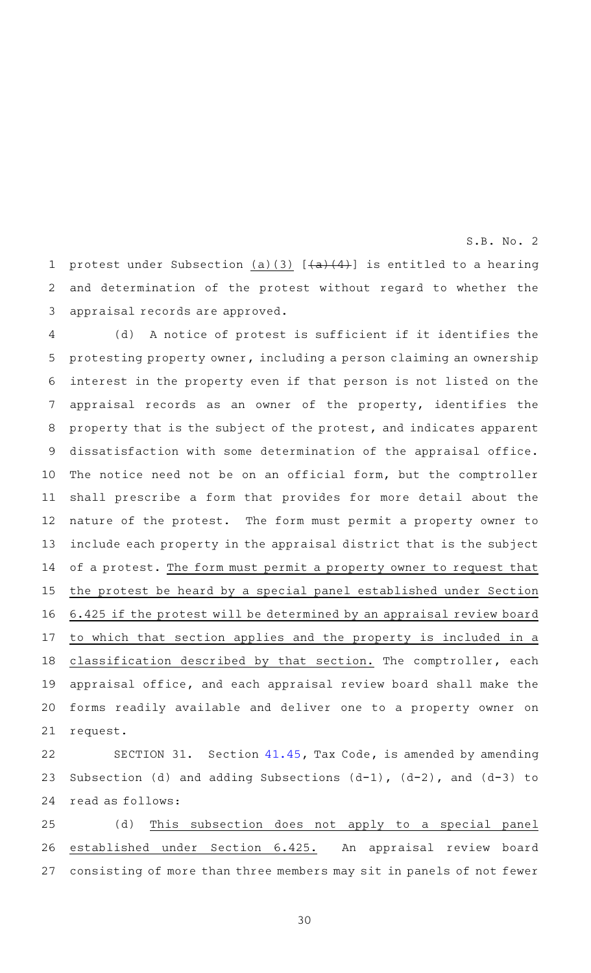protest under Subsection  $(a)(3)$   $[+a)+(4)$  is entitled to a hearing and determination of the protest without regard to whether the appraisal records are approved. 1 2 3

(d) A notice of protest is sufficient if it identifies the protesting property owner, including a person claiming an ownership interest in the property even if that person is not listed on the appraisal records as an owner of the property, identifies the property that is the subject of the protest, and indicates apparent dissatisfaction with some determination of the appraisal office. The notice need not be on an official form, but the comptroller shall prescribe a form that provides for more detail about the nature of the protest. The form must permit a property owner to include each property in the appraisal district that is the subject of a protest. The form must permit a property owner to request that the protest be heard by a special panel established under Section 6.425 if the protest will be determined by an appraisal review board to which that section applies and the property is included in a classification described by that section. The comptroller, each appraisal office, and each appraisal review board shall make the forms readily available and deliver one to a property owner on request. 4 5 6 7 8 9 10 11 12 13 14 15 16 17 18 19 20 21

SECTION 31. Section [41.45,](http://www.statutes.legis.state.tx.us/GetStatute.aspx?Code=TX&Value=41.45&Date=11/29/2016) Tax Code, is amended by amending Subsection (d) and adding Subsections  $(d-1)$ ,  $(d-2)$ , and  $(d-3)$  to read as follows: 22 23 24

(d) This subsection does not apply to a special panel established under Section 6.425. An appraisal review board consisting of more than three members may sit in panels of not fewer 25 26 27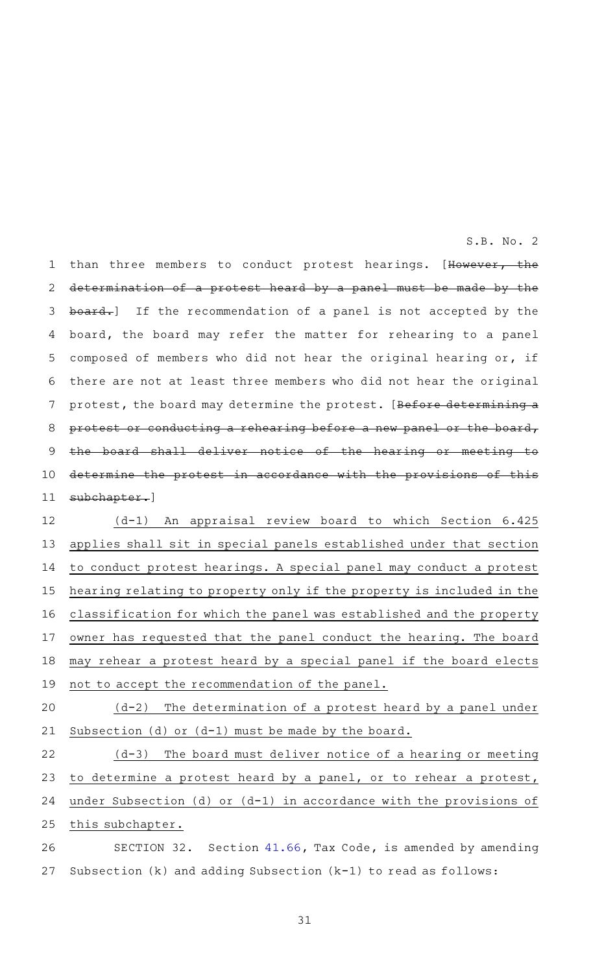than three members to conduct protest hearings. [However, the determination of a protest heard by a panel must be made by the board.] If the recommendation of a panel is not accepted by the board, the board may refer the matter for rehearing to a panel composed of members who did not hear the original hearing or, if there are not at least three members who did not hear the original protest, the board may determine the protest. [Before determining a protest or conducting a rehearing before a new panel or the board, board shall deliver notice of the hearing or meeting determine the protest in accordance with the provisions of this subchapter.] 1 2 3 4 5 6 7 8 9 10 11

(d-1) An appraisal review board to which Section 6.425 applies shall sit in special panels established under that section to conduct protest hearings. A special panel may conduct a protest hearing relating to property only if the property is included in the classification for which the panel was established and the property owner has requested that the panel conduct the hearing. The board may rehear a protest heard by a special panel if the board elects not to accept the recommendation of the panel. 12 13 14 15 16 17 18 19

 $(d-2)$  The determination of a protest heard by a panel under Subsection (d) or (d-1) must be made by the board. 20 21

 $(d-3)$  The board must deliver notice of a hearing or meeting to determine a protest heard by a panel, or to rehear a protest, under Subsection (d) or (d-1) in accordance with the provisions of this subchapter. 22 23 24 25

SECTION 32. Section [41.66,](http://www.statutes.legis.state.tx.us/GetStatute.aspx?Code=TX&Value=41.66&Date=11/29/2016) Tax Code, is amended by amending Subsection (k) and adding Subsection (k-1) to read as follows: 26 27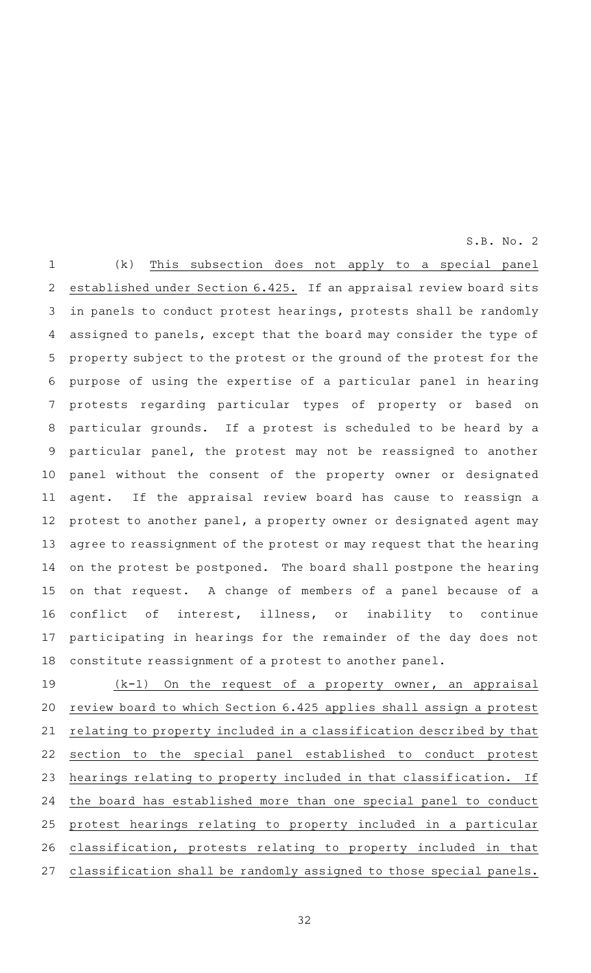$(k)$  This subsection does not apply to a special panel established under Section 6.425. If an appraisal review board sits in panels to conduct protest hearings, protests shall be randomly assigned to panels, except that the board may consider the type of property subject to the protest or the ground of the protest for the purpose of using the expertise of a particular panel in hearing protests regarding particular types of property or based on particular grounds. If a protest is scheduled to be heard by a particular panel, the protest may not be reassigned to another panel without the consent of the property owner or designated agent. If the appraisal review board has cause to reassign a protest to another panel, a property owner or designated agent may agree to reassignment of the protest or may request that the hearing on the protest be postponed. The board shall postpone the hearing on that request. A change of members of a panel because of a conflict of interest, illness, or inability to continue participating in hearings for the remainder of the day does not constitute reassignment of a protest to another panel. 1 2 3 4 5 6 7 8 9 10 11 12 13 14 15 16 17 18

 $(k-1)$  On the request of a property owner, an appraisal review board to which Section 6.425 applies shall assign a protest relating to property included in a classification described by that section to the special panel established to conduct protest hearings relating to property included in that classification. If the board has established more than one special panel to conduct protest hearings relating to property included in a particular classification, protests relating to property included in that classification shall be randomly assigned to those special panels. 19 20 21 22 23 24 25 26 27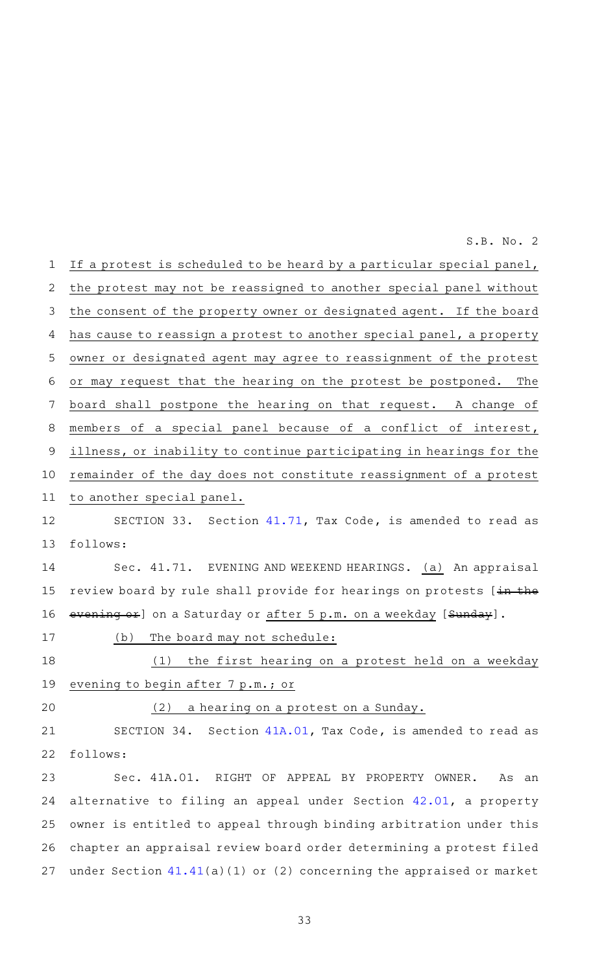If a protest is scheduled to be heard by a particular special panel, the protest may not be reassigned to another special panel without the consent of the property owner or designated agent. If the board has cause to reassign a protest to another special panel, a property owner or designated agent may agree to reassignment of the protest or may request that the hearing on the protest be postponed. The board shall postpone the hearing on that request. A change of members of a special panel because of a conflict of interest, illness, or inability to continue participating in hearings for the remainder of the day does not constitute reassignment of a protest to another special panel. SECTION 33. Section  $41.71$ , Tax Code, is amended to read as follows: Sec. 41.71. EVENING AND WEEKEND HEARINGS. (a) An appraisal review board by rule shall provide for hearings on protests [in the evening or] on a Saturday or after 5 p.m. on a weekday [Sunday]. (b) The board may not schedule: (1) the first hearing on a protest held on a weekday evening to begin after 7 p.m.; or  $(2)$  a hearing on a protest on a Sunday. SECTION 34. Section [41A.01,](http://www.statutes.legis.state.tx.us/GetStatute.aspx?Code=TX&Value=41A.01&Date=11/29/2016) Tax Code, is amended to read as follows: Sec. 41A.01. RIGHT OF APPEAL BY PROPERTY OWNER. As an alternative to filing an appeal under Section [42.01](http://www.statutes.legis.state.tx.us/GetStatute.aspx?Code=TX&Value=42.01&Date=11/29/2016), a property owner is entitled to appeal through binding arbitration under this chapter an appraisal review board order determining a protest filed under Section [41.41](http://www.statutes.legis.state.tx.us/GetStatute.aspx?Code=TX&Value=41.41&Date=11/29/2016)(a)(1) or (2) concerning the appraised or market 1 2 3 4 5 6 7 8 9 10 11 12 13 14 15 16 17 18 19 20 21 22 23 24 25 26 27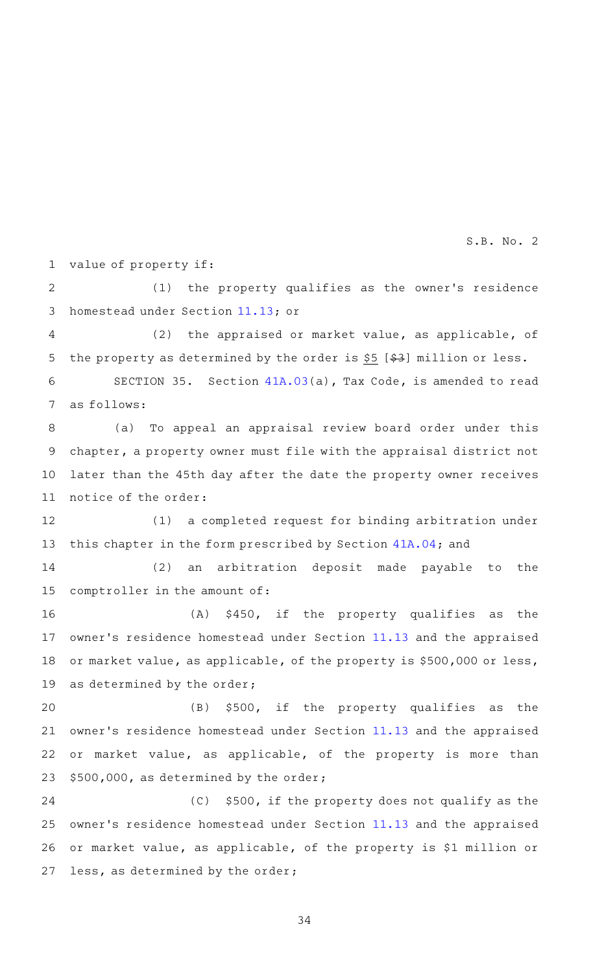value of property if: 1

(1) the property qualifies as the owner's residence homestead under Section [11.13](http://www.statutes.legis.state.tx.us/GetStatute.aspx?Code=TX&Value=11.13&Date=11/29/2016); or 2 3

(2) the appraised or market value, as applicable, of the property as determined by the order is  $$5$  [ $$3$ ] million or less. 4 5

SECTION 35. Section [41A.03](http://www.statutes.legis.state.tx.us/GetStatute.aspx?Code=TX&Value=41A.03&Date=11/29/2016)(a), Tax Code, is amended to read as follows: 6 7

(a) To appeal an appraisal review board order under this chapter, a property owner must file with the appraisal district not later than the 45th day after the date the property owner receives notice of the order: 8 9 10 11

(1) a completed request for binding arbitration under this chapter in the form prescribed by Section [41A.04;](http://www.statutes.legis.state.tx.us/GetStatute.aspx?Code=TX&Value=41A.04&Date=11/29/2016) and 12 13

 $(2)$  an arbitration deposit made payable to the comptroller in the amount of: 14 15

 $(A)$  \$450, if the property qualifies as the owner's residence homestead under Section [11.13](http://www.statutes.legis.state.tx.us/GetStatute.aspx?Code=TX&Value=11.13&Date=11/29/2016) and the appraised or market value, as applicable, of the property is \$500,000 or less, as determined by the order; 16 17 18 19

(B) \$500, if the property qualifies as the owner's residence homestead under Section [11.13](http://www.statutes.legis.state.tx.us/GetStatute.aspx?Code=TX&Value=11.13&Date=11/29/2016) and the appraised or market value, as applicable, of the property is more than \$500,000, as determined by the order; 20 21 22 23

 $(C)$  \$500, if the property does not qualify as the owner 's residence homestead under Section [11.13](http://www.statutes.legis.state.tx.us/GetStatute.aspx?Code=TX&Value=11.13&Date=11/29/2016) and the appraised or market value, as applicable, of the property is \$1 million or less, as determined by the order; 24 25 26 27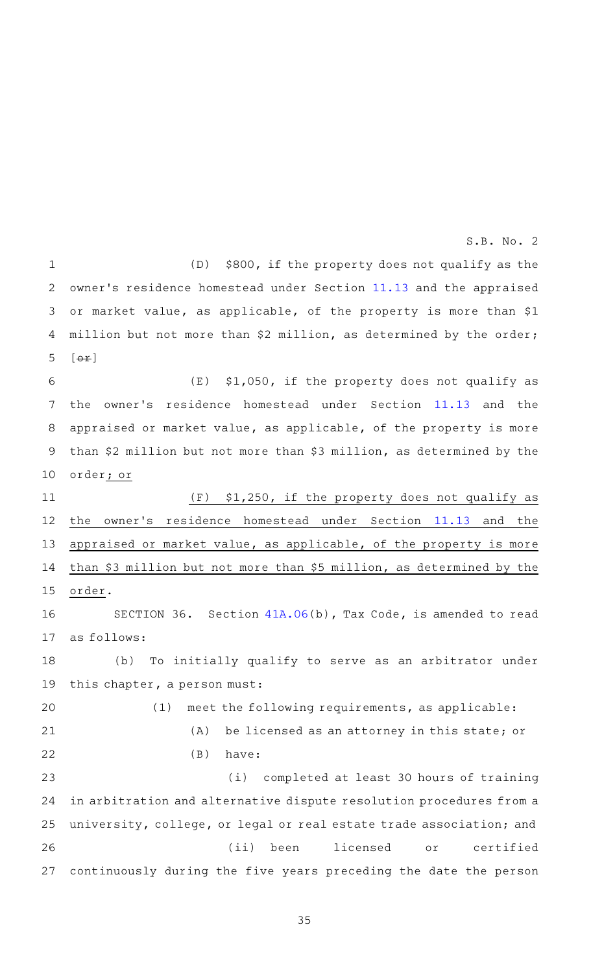(D) \$800, if the property does not qualify as the owner's residence homestead under Section [11.13](http://www.statutes.legis.state.tx.us/GetStatute.aspx?Code=TX&Value=11.13&Date=11/29/2016) and the appraised or market value, as applicable, of the property is more than \$1 million but not more than \$2 million, as determined by the order;  $\lceil$   $\Theta$   $\pm$   $\rceil$  $(E)$  \$1,050, if the property does not qualify as the owner 's residence homestead under Section [11.13](http://www.statutes.legis.state.tx.us/GetStatute.aspx?Code=TX&Value=11.13&Date=11/29/2016) and the appraised or market value, as applicable, of the property is more than \$2 million but not more than \$3 million, as determined by the order; or  $(F)$  \$1,250, if the property does not qualify as the owner 's residence homestead under Section [11.13](http://www.statutes.legis.state.tx.us/GetStatute.aspx?Code=TX&Value=11.13&Date=11/29/2016) and the appraised or market value, as applicable, of the property is more than \$3 million but not more than \$5 million, as determined by the order. SECTION 36. Section  $41A.06(b)$  $41A.06(b)$ , Tax Code, is amended to read as follows: (b) To initially qualify to serve as an arbitrator under this chapter, a person must:  $(1)$  meet the following requirements, as applicable:  $(A)$  be licensed as an attorney in this state; or  $(B)$  have: (i) completed at least 30 hours of training in arbitration and alternative dispute resolution procedures from a university, college, or legal or real estate trade association; and (ii) been licensed or certified continuously during the five years preceding the date the person 1 2 3 4 5 6 7 8 9 10 11 12 13 14 15 16 17 18 19 20 21 22 23 24 25 26 27 S.B. No. 2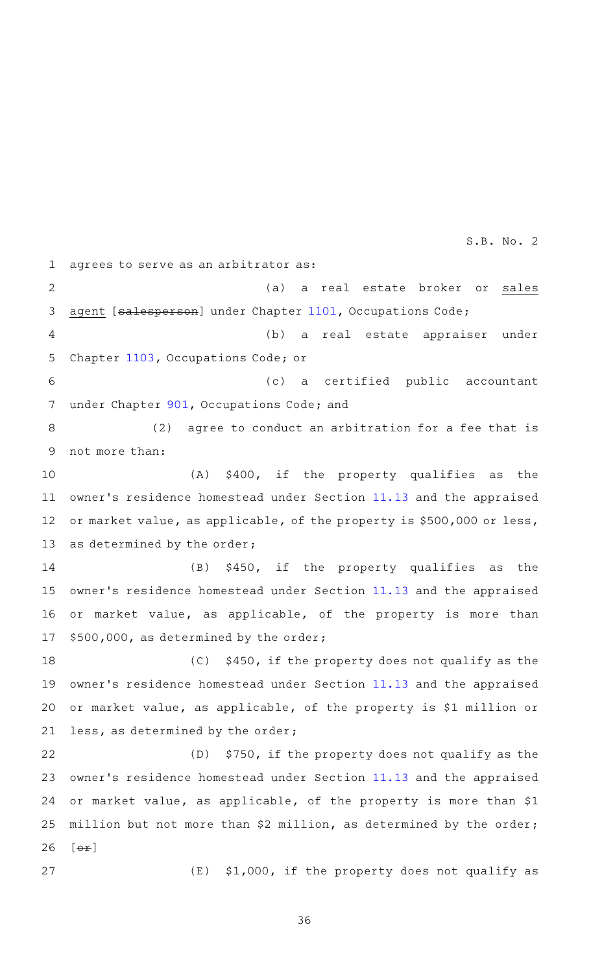agrees to serve as an arbitrator as: (a) a real estate broker or sales agent [salesperson] under Chapter [1101,](http://www.statutes.legis.state.tx.us/GetStatute.aspx?Code=OC&Value=1101&Date=11/29/2016) Occupations Code; (b) a real estate appraiser under Chapter [1103](http://www.statutes.legis.state.tx.us/GetStatute.aspx?Code=OC&Value=1103&Date=11/29/2016), Occupations Code; or (c) a certified public accountant under Chapter [901](http://www.statutes.legis.state.tx.us/GetStatute.aspx?Code=OC&Value=901&Date=11/29/2016), Occupations Code; and (2) agree to conduct an arbitration for a fee that is not more than: (A) \$400, if the property qualifies as the owner's residence homestead under Section [11.13](http://www.statutes.legis.state.tx.us/GetStatute.aspx?Code=TX&Value=11.13&Date=11/29/2016) and the appraised or market value, as applicable, of the property is \$500,000 or less, as determined by the order;  $(B)$  \$450, if the property qualifies as the owner's residence homestead under Section [11.13](http://www.statutes.legis.state.tx.us/GetStatute.aspx?Code=TX&Value=11.13&Date=11/29/2016) and the appraised or market value, as applicable, of the property is more than \$500,000, as determined by the order;  $(C)$  \$450, if the property does not qualify as the owner's residence homestead under Section [11.13](http://www.statutes.legis.state.tx.us/GetStatute.aspx?Code=TX&Value=11.13&Date=11/29/2016) and the appraised or market value, as applicable, of the property is \$1 million or less, as determined by the order; (D) \$750, if the property does not qualify as the owner 's residence homestead under Section [11.13](http://www.statutes.legis.state.tx.us/GetStatute.aspx?Code=TX&Value=11.13&Date=11/29/2016) and the appraised or market value, as applicable, of the property is more than \$1 million but not more than \$2 million, as determined by the order;  $[$   $\leftrightarrow$   $]$  $(E)$  \$1,000, if the property does not qualify as 1 2 3 4 5 6 7 8 9 10 11 12 13 14 15 16 17 18 19 20 21 22 23 24 25 26 27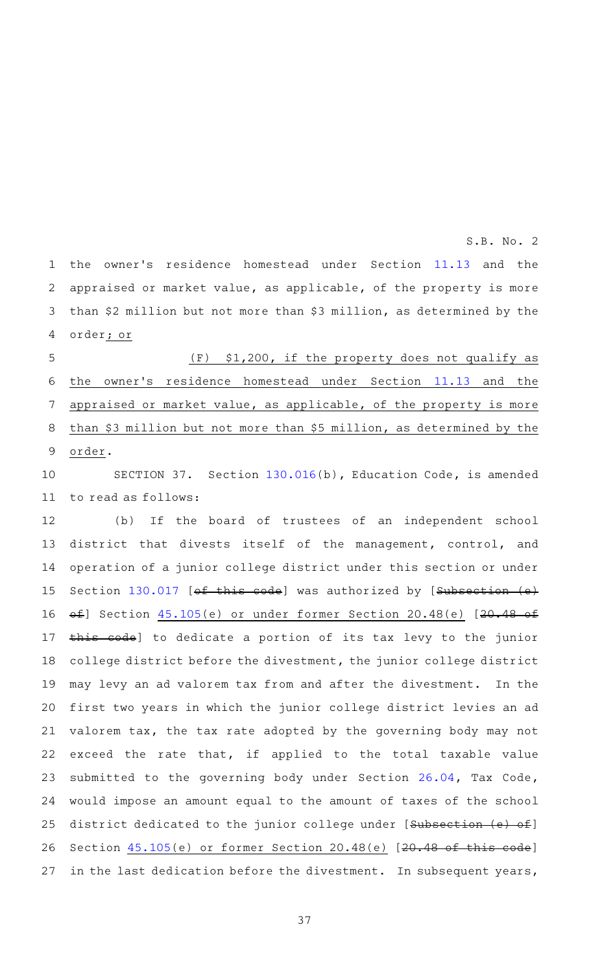the owner 's residence homestead under Section [11.13](http://www.statutes.legis.state.tx.us/GetStatute.aspx?Code=TX&Value=11.13&Date=11/29/2016) and the appraised or market value, as applicable, of the property is more than \$2 million but not more than \$3 million, as determined by the order; or 1 2 3 4

 $(F)$  \$1,200, if the property does not qualify as the owner's residence homestead under Section [11.13](http://www.statutes.legis.state.tx.us/GetStatute.aspx?Code=TX&Value=11.13&Date=11/29/2016) and the appraised or market value, as applicable, of the property is more than \$3 million but not more than \$5 million, as determined by the order. 5 6 7 8 9

SECTION 37. Section [130.016\(](http://www.statutes.legis.state.tx.us/GetStatute.aspx?Code=ED&Value=130.016&Date=11/29/2016)b), Education Code, is amended to read as follows: 10 11

(b) If the board of trustees of an independent school district that divests itself of the management, control, and operation of a junior college district under this section or under Section [130.017](http://www.statutes.legis.state.tx.us/GetStatute.aspx?Code=ED&Value=130.017&Date=11/29/2016) [of this code] was authorized by [Subsection (e) of] Section [45.105\(](http://www.statutes.legis.state.tx.us/GetStatute.aspx?Code=ED&Value=45.105&Date=11/29/2016)e) or under former Section 20.48(e) [20.48 of this code] to dedicate a portion of its tax levy to the junior college district before the divestment, the junior college district may levy an ad valorem tax from and after the divestment. In the first two years in which the junior college district levies an ad valorem tax, the tax rate adopted by the governing body may not exceed the rate that, if applied to the total taxable value submitted to the governing body under Section [26.04,](http://www.statutes.legis.state.tx.us/GetStatute.aspx?Code=TX&Value=26.04&Date=11/29/2016) Tax Code, would impose an amount equal to the amount of taxes of the school district dedicated to the junior college under [Subsection (e) of] Section  $45.105(e)$  $45.105(e)$  or former Section 20.48(e) [20.48 of this code] in the last dedication before the divestment. In subsequent years, 12 13 14 15 16 17 18 19 20 21 22 23 24 25 26 27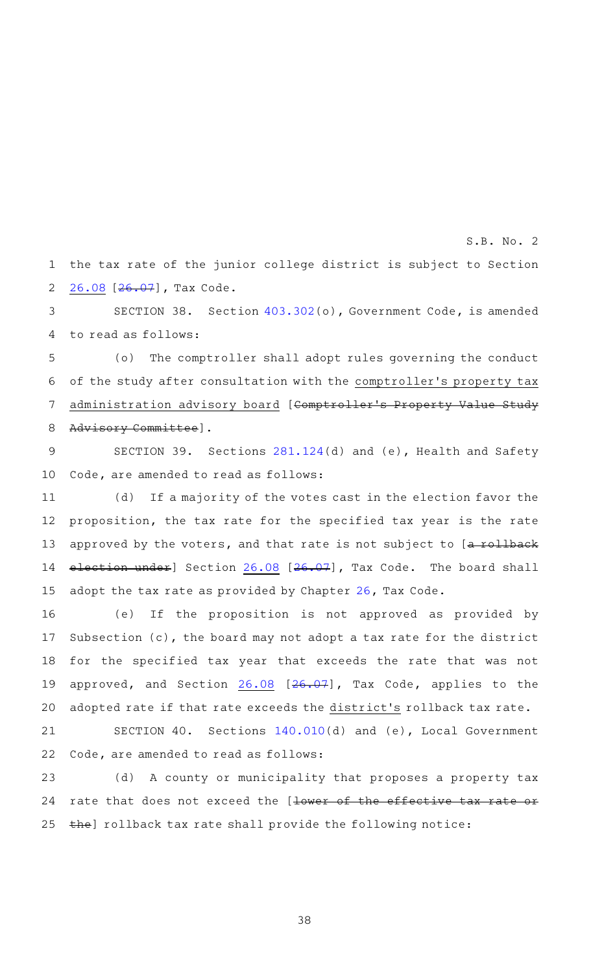the tax rate of the junior college district is subject to Section [26.08](http://www.statutes.legis.state.tx.us/GetStatute.aspx?Code=TX&Value=26.08&Date=11/29/2016) [\[26.07](http://www.statutes.legis.state.tx.us/GetStatute.aspx?Code=TX&Value=26.07&Date=11/29/2016)], Tax Code. 1 2

SECTION 38. Section [403.302](http://www.statutes.legis.state.tx.us/GetStatute.aspx?Code=GV&Value=403.302&Date=11/29/2016)(o), Government Code, is amended to read as follows: 3 4

(o) The comptroller shall adopt rules governing the conduct of the study after consultation with the comptroller 's property tax administration advisory board [Comptroller's Property Value Study Advisory Committee]. 5 6 7 8

SECTION 39. Sections [281.124](http://www.statutes.legis.state.tx.us/GetStatute.aspx?Code=HS&Value=281.124&Date=11/29/2016)(d) and (e), Health and Safety Code, are amended to read as follows: 9 10

(d) If a majority of the votes cast in the election favor the proposition, the tax rate for the specified tax year is the rate approved by the voters, and that rate is not subject to [a rollback election under] Section [26.08](http://www.statutes.legis.state.tx.us/GetStatute.aspx?Code=TX&Value=26.08&Date=11/29/2016) [\[26.07\]](http://www.statutes.legis.state.tx.us/GetStatute.aspx?Code=TX&Value=26.07&Date=11/29/2016), Tax Code. The board shall adopt the tax rate as provided by Chapter [26,](http://www.statutes.legis.state.tx.us/GetStatute.aspx?Code=TX&Value=26&Date=11/29/2016) Tax Code. 11 12 13 14 15

(e) If the proposition is not approved as provided by Subsection (c), the board may not adopt a tax rate for the district for the specified tax year that exceeds the rate that was not approved, and Section [26.08](http://www.statutes.legis.state.tx.us/GetStatute.aspx?Code=TX&Value=26.08&Date=11/29/2016) [\[26.07\]](http://www.statutes.legis.state.tx.us/GetStatute.aspx?Code=TX&Value=26.07&Date=11/29/2016), Tax Code, applies to the adopted rate if that rate exceeds the district 's rollback tax rate. 16 17 18 19 20

SECTION 40. Sections [140.010\(](http://www.statutes.legis.state.tx.us/GetStatute.aspx?Code=LG&Value=140.010&Date=11/29/2016)d) and (e), Local Government Code, are amended to read as follows: 21 22

(d) A county or municipality that proposes a property tax rate that does not exceed the [lower of the effective tax rate or the] rollback tax rate shall provide the following notice: 23 24 25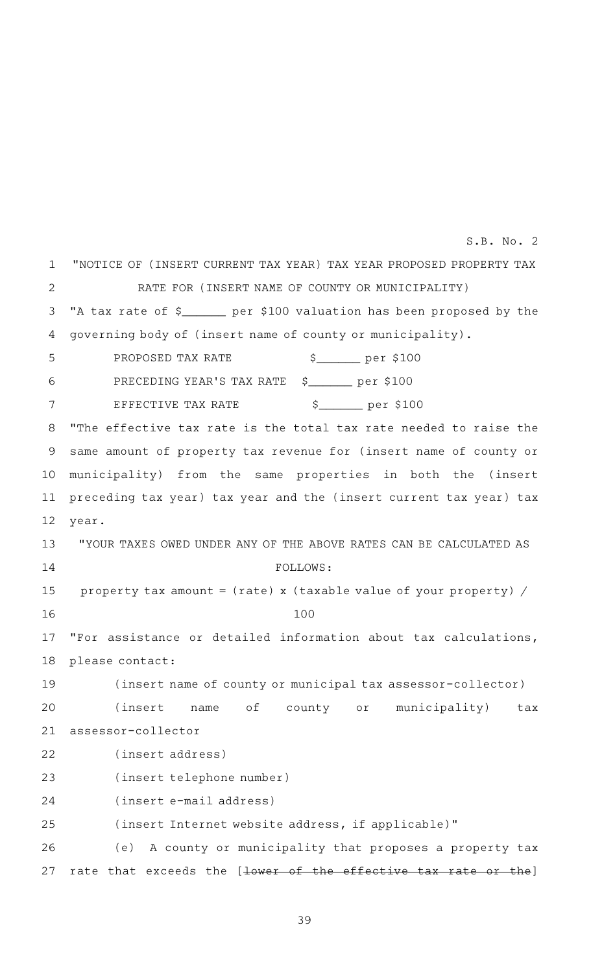"NOTICE OF (INSERT CURRENT TAX YEAR) TAX YEAR PROPOSED PROPERTY TAX RATE FOR (INSERT NAME OF COUNTY OR MUNICIPALITY) "A tax rate of \$\_\_\_\_\_\_ per \$100 valuation has been proposed by the governing body of (insert name of county or municipality). PROPOSED TAX RATEAAAAAAAAAA \$\_\_\_\_\_\_ per \$100 PRECEDING YEAR'S TAX RATE \$\_\_\_\_\_\_\_ per \$100 EFFECTIVE TAX RATE  $\begin{array}{ccc} \uparrow & \downarrow & \downarrow \ \uparrow & \downarrow & \downarrow \end{array}$  per \$100 "The effective tax rate is the total tax rate needed to raise the same amount of property tax revenue for (insert name of county or municipality) from the same properties in both the (insert preceding tax year) tax year and the (insert current tax year) tax year. "YOUR TAXES OWED UNDER ANY OF THE ABOVE RATES CAN BE CALCULATED AS FOLLOWS: property tax amount = (rate) x (taxable value of your property) / 100 "For assistance or detailed information about tax calculations, please contact: (insert name of county or municipal tax assessor-collector) (insert name of county or municipality) tax assessor-collector (insert address) (insert telephone number) (insert e-mail address) (insert Internet website address, if applicable)" (e) A county or municipality that proposes a property tax rate that exceeds the [lower of the effective tax rate or the] 1 2 3 4 5 6 7 8 9 10 11 12 13 14 15 16 17 18 19 20 21 22 23 24 25 26 27 S.B. No. 2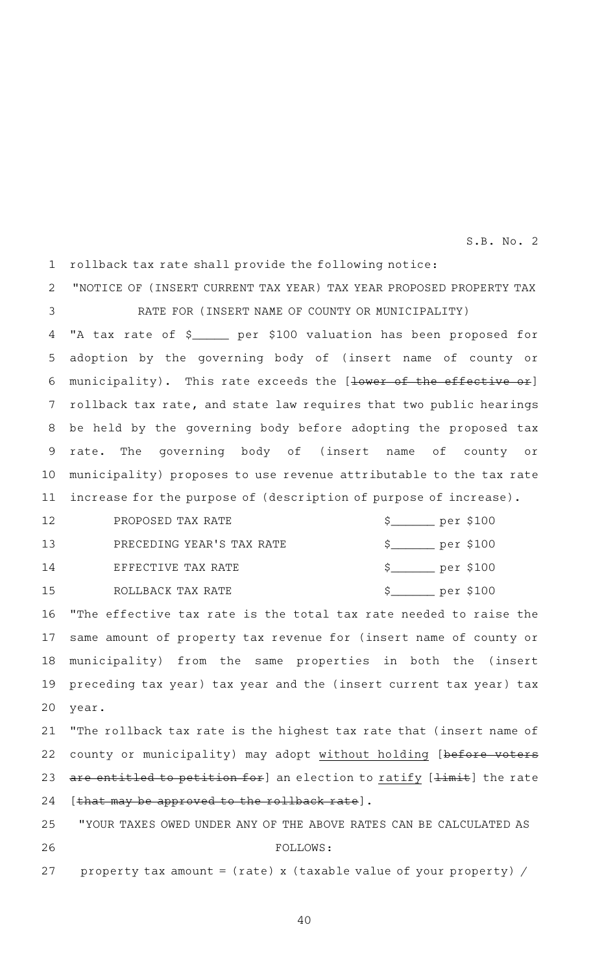rollback tax rate shall provide the following notice: 1

"NOTICE OF (INSERT CURRENT TAX YEAR) TAX YEAR PROPOSED PROPERTY TAX RATE FOR (INSERT NAME OF COUNTY OR MUNICIPALITY) 2 3

"A tax rate of \$ \_\_\_\_\_ per \$100 valuation has been proposed for adoption by the governing body of (insert name of county or municipality). This rate exceeds the [lower of the effective or] rollback tax rate, and state law requires that two public hearings be held by the governing body before adopting the proposed tax rate. The governing body of (insert name of county or municipality) proposes to use revenue attributable to the tax rate increase for the purpose of (description of purpose of increase). 4 5 6 7 8 9 10 11

PROPOSED TAX RATE  $\frac{10}{100}$  per \$100 PRECEDING YEAR'S TAX RATE  $\qquad \qquad$  \$\_\_\_\_\_\_\_ per \$100 EFFECTIVE TAX RATE  $$$   $$$ ROLLBACK TAX RATE  $$$   $$$ 12 13 14 15

"The effective tax rate is the total tax rate needed to raise the same amount of property tax revenue for (insert name of county or municipality) from the same properties in both the (insert preceding tax year) tax year and the (insert current tax year) tax year. 16 17 18 19 20

"The rollback tax rate is the highest tax rate that (insert name of county or municipality) may adopt without holding [before voters are entitled to petition for] an election to ratify [limit] the rate [that may be approved to the rollback rate]. 21 22 23 24

"YOUR TAXES OWED UNDER ANY OF THE ABOVE RATES CAN BE CALCULATED AS FOLLOWS: property tax amount =  $(\text{rate})$  x  $(\text{taxable value of your property})$  / 25 26 27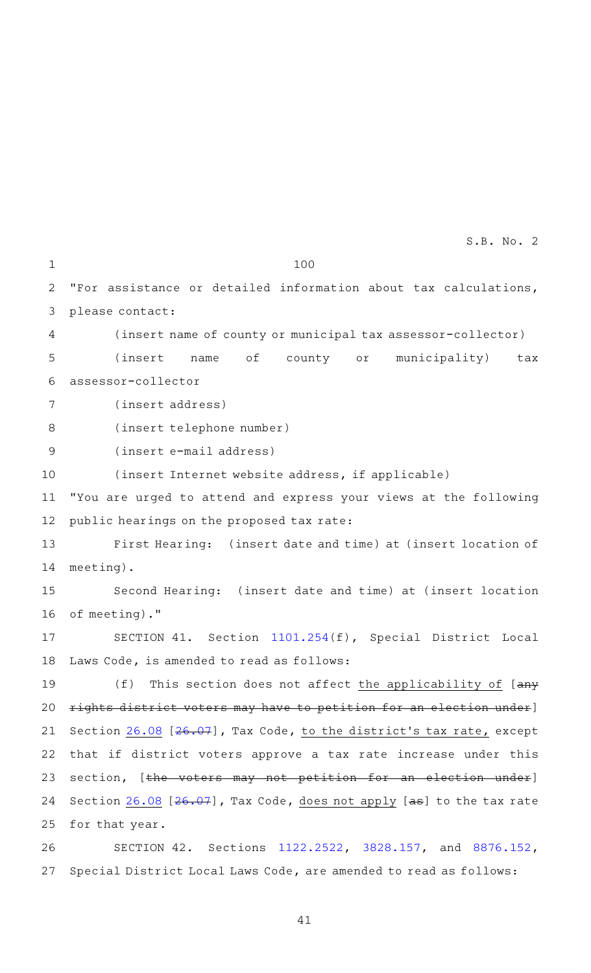100

1

27

"For assistance or detailed information about tax calculations, please contact: (insert name of county or municipal tax assessor-collector) (insert name of county or municipality) tax assessor-collector (insert address) (insert telephone number) (insert e-mail address) (insert Internet website address, if applicable) "You are urged to attend and express your views at the following public hearings on the proposed tax rate: First Hearing: (insert date and time) at (insert location of meeting). Second Hearing: (insert date and time) at (insert location of meeting)." SECTION 41. Section [1101.254\(](http://www.statutes.legis.state.tx.us/GetStatute.aspx?Code=SD&Value=1101.254&Date=11/29/2016)f), Special District Local Laws Code, is amended to read as follows: (f) This section does not affect the applicability of  $[any]$ rights district voters may have to petition for an election under] Section [26.08](http://www.statutes.legis.state.tx.us/GetStatute.aspx?Code=TX&Value=26.08&Date=11/29/2016) [[26.07](http://www.statutes.legis.state.tx.us/GetStatute.aspx?Code=TX&Value=26.07&Date=11/29/2016)], Tax Code, to the district's tax rate, except that if district voters approve a tax rate increase under this section, [the voters may not petition for an election under] Section  $26.08$  [ $26.07$ ], Tax Code, does not apply [ $a$ s] to the tax rate for that year. SECTION 42. Sections [1122.2522,](http://www.statutes.legis.state.tx.us/GetStatute.aspx?Code=SD&Value=1122.2522&Date=11/29/2016) [3828.157,](http://www.statutes.legis.state.tx.us/GetStatute.aspx?Code=SD&Value=3828.157&Date=11/29/2016) and [8876.152](http://www.statutes.legis.state.tx.us/GetStatute.aspx?Code=SD&Value=8876.152&Date=11/29/2016), 2 3 4 5 6 7 8 9 10 11 12 13 14 15 16 17 18 19 20 21 22 23 24 25 26

41

Special District Local Laws Code, are amended to read as follows: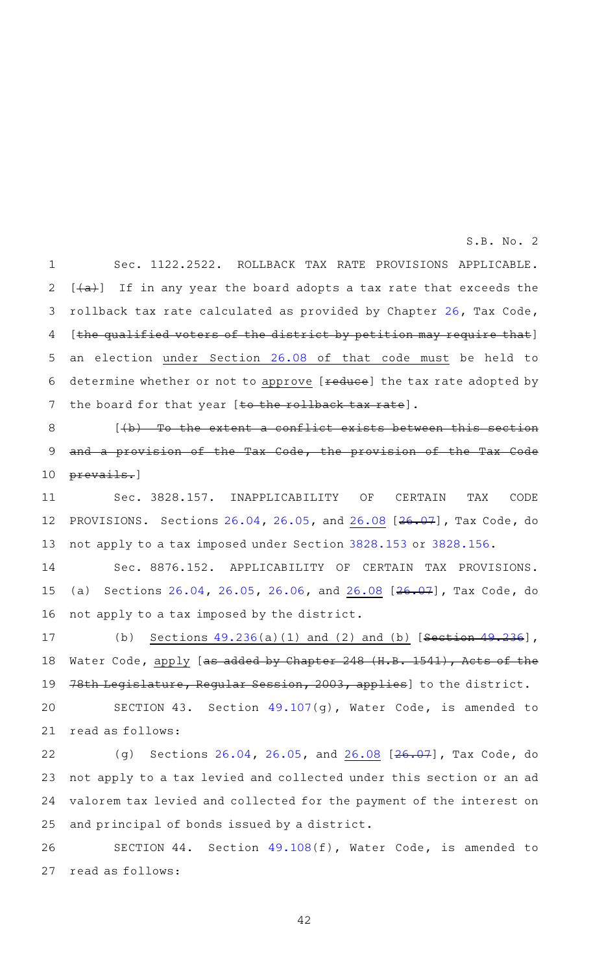Sec. 1122.2522. ROLLBACK TAX RATE PROVISIONS APPLICABLE.  $[+a+]$  If in any year the board adopts a tax rate that exceeds the rollback tax rate calculated as provided by Chapter [26,](http://www.statutes.legis.state.tx.us/GetStatute.aspx?Code=TX&Value=26&Date=11/29/2016) Tax Code, [the qualified voters of the district by petition may require that] an election under Section [26.08](http://www.statutes.legis.state.tx.us/GetStatute.aspx?Code=TX&Value=26.08&Date=11/29/2016) of that code must be held to determine whether or not to approve [reduce] the tax rate adopted by the board for that year [to the rollback tax rate]. 1 2 3 4 5 6 7

 $[\frac{1}{b} + \frac{1}{b}]$  To the extent a conflict exists between this section and a provision of the Tax Code, the provision of the Tax Code prevails.] 8 9 10

Sec. 3828.157. INAPPLICABILITY OF CERTAIN TAX CODE PROVISIONS. Sections [26.04,](http://www.statutes.legis.state.tx.us/GetStatute.aspx?Code=TX&Value=26.04&Date=11/29/2016) [26.05,](http://www.statutes.legis.state.tx.us/GetStatute.aspx?Code=TX&Value=26.05&Date=11/29/2016) and [26.08](http://www.statutes.legis.state.tx.us/GetStatute.aspx?Code=TX&Value=26.08&Date=11/29/2016) [[26.07\]](http://www.statutes.legis.state.tx.us/GetStatute.aspx?Code=TX&Value=26.07&Date=11/29/2016), Tax Code, do not apply to a tax imposed under Section [3828.153](http://www.statutes.legis.state.tx.us/GetStatute.aspx?Code=SD&Value=3828.153&Date=11/29/2016) or [3828.156](http://www.statutes.legis.state.tx.us/GetStatute.aspx?Code=SD&Value=3828.156&Date=11/29/2016). 11 12 13

Sec. 8876.152. APPLICABILITY OF CERTAIN TAX PROVISIONS. (a) Sections [26.04](http://www.statutes.legis.state.tx.us/GetStatute.aspx?Code=TX&Value=26.04&Date=11/29/2016), [26.05,](http://www.statutes.legis.state.tx.us/GetStatute.aspx?Code=TX&Value=26.05&Date=11/29/2016) [26.06,](http://www.statutes.legis.state.tx.us/GetStatute.aspx?Code=TX&Value=26.06&Date=11/29/2016) and [26.08](http://www.statutes.legis.state.tx.us/GetStatute.aspx?Code=TX&Value=26.08&Date=11/29/2016) [\[26.07](http://www.statutes.legis.state.tx.us/GetStatute.aspx?Code=TX&Value=26.07&Date=11/29/2016)], Tax Code, do not apply to a tax imposed by the district. 14 15 16

(b) Sections  $49.236(a)(1)$  $49.236(a)(1)$  and (2) and (b) [Section  $49.236$ ], Water Code, apply [as added by Chapter 248 (H.B. 1541), Acts of the 78th Legislature, Regular Session, 2003, applies] to the district. SECTION 43. Section [49.107\(](http://www.statutes.legis.state.tx.us/GetStatute.aspx?Code=WA&Value=49.107&Date=11/29/2016)g), Water Code, is amended to 17 18 19 20

read as follows: 21

(g) Sections [26.04](http://www.statutes.legis.state.tx.us/GetStatute.aspx?Code=TX&Value=26.04&Date=11/29/2016), [26.05](http://www.statutes.legis.state.tx.us/GetStatute.aspx?Code=TX&Value=26.05&Date=11/29/2016), and [26.08](http://www.statutes.legis.state.tx.us/GetStatute.aspx?Code=TX&Value=26.08&Date=11/29/2016) [[26.07\]](http://www.statutes.legis.state.tx.us/GetStatute.aspx?Code=TX&Value=26.07&Date=11/29/2016), Tax Code, do not apply to a tax levied and collected under this section or an ad valorem tax levied and collected for the payment of the interest on and principal of bonds issued by a district. 22 23 24 25

SECTION 44. Section [49.108\(](http://www.statutes.legis.state.tx.us/GetStatute.aspx?Code=WA&Value=49.108&Date=11/29/2016)f), Water Code, is amended to read as follows: 26 27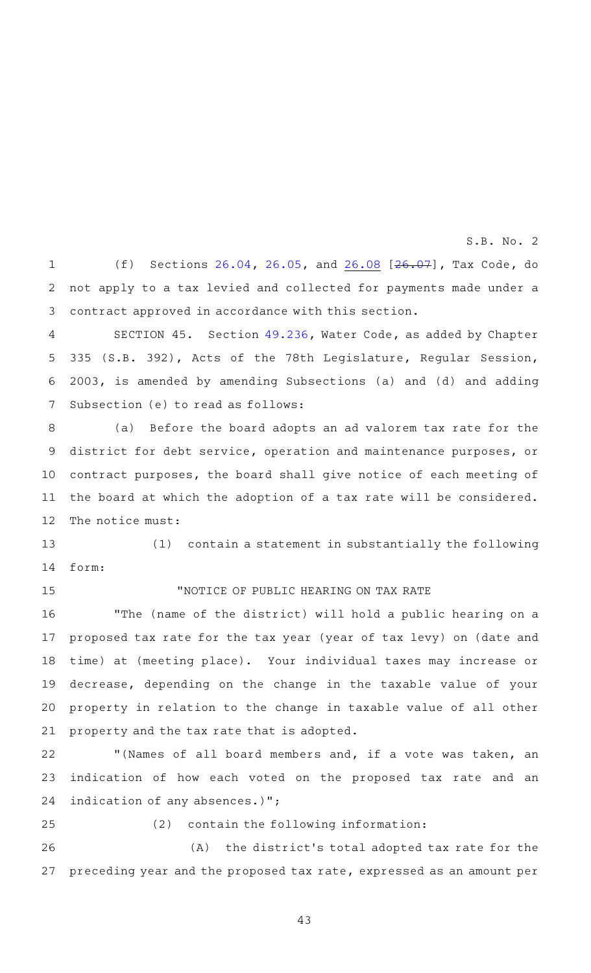(f) Sections [26.04](http://www.statutes.legis.state.tx.us/GetStatute.aspx?Code=TX&Value=26.04&Date=11/29/2016), [26.05](http://www.statutes.legis.state.tx.us/GetStatute.aspx?Code=TX&Value=26.05&Date=11/29/2016), and [26.08](http://www.statutes.legis.state.tx.us/GetStatute.aspx?Code=TX&Value=26.08&Date=11/29/2016) [[26.07\]](http://www.statutes.legis.state.tx.us/GetStatute.aspx?Code=TX&Value=26.07&Date=11/29/2016), Tax Code, do not apply to a tax levied and collected for payments made under a contract approved in accordance with this section. 1 2 3

SECTION 45. Section [49.236](http://www.statutes.legis.state.tx.us/GetStatute.aspx?Code=WA&Value=49.236&Date=11/29/2016&Chamber=S&Type=B&Suffix=392&Legislature=78&Session=0), Water Code, as added by Chapter 335 (S.B. 392), Acts of the 78th Legislature, Regular Session, 2003, is amended by amending Subsections (a) and (d) and adding Subsection (e) to read as follows: 4 5 6 7

(a) Before the board adopts an ad valorem tax rate for the district for debt service, operation and maintenance purposes, or contract purposes, the board shall give notice of each meeting of the board at which the adoption of a tax rate will be considered. The notice must: 8 9 10 11 12

(1) contain a statement in substantially the following form: 13 14

15

# "NOTICE OF PUBLIC HEARING ON TAX RATE

"The (name of the district) will hold a public hearing on a proposed tax rate for the tax year (year of tax levy) on (date and time) at (meeting place). Your individual taxes may increase or decrease, depending on the change in the taxable value of your property in relation to the change in taxable value of all other property and the tax rate that is adopted. 16 17 18 19 20 21

"(Names of all board members and, if a vote was taken, an indication of how each voted on the proposed tax rate and an indication of any absences.)"; 22 23 24

 $(2)$  contain the following information: (A) the district's total adopted tax rate for the preceding year and the proposed tax rate, expressed as an amount per 25 26 27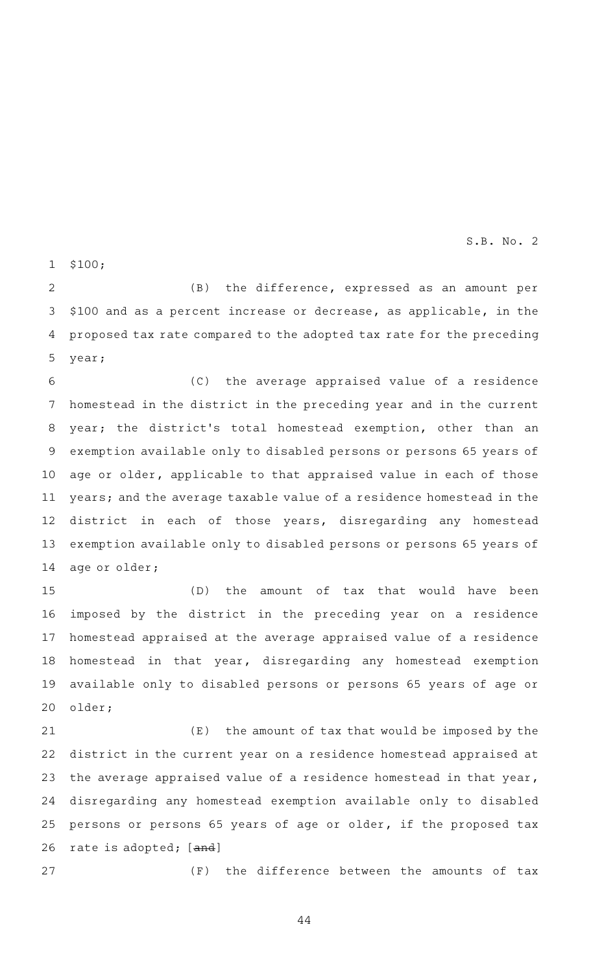\$100; 1

(B) the difference, expressed as an amount per \$100 and as a percent increase or decrease, as applicable, in the proposed tax rate compared to the adopted tax rate for the preceding year; 2 3 4 5

(C) the average appraised value of a residence homestead in the district in the preceding year and in the current year; the district's total homestead exemption, other than an exemption available only to disabled persons or persons 65 years of age or older, applicable to that appraised value in each of those years; and the average taxable value of a residence homestead in the district in each of those years, disregarding any homestead exemption available only to disabled persons or persons 65 years of age or older; 6 7 8 9 10 11 12 13 14

(D) the amount of tax that would have been imposed by the district in the preceding year on a residence homestead appraised at the average appraised value of a residence homestead in that year, disregarding any homestead exemption available only to disabled persons or persons 65 years of age or older; 15 16 17 18 19 20

 $(E)$  the amount of tax that would be imposed by the district in the current year on a residence homestead appraised at the average appraised value of a residence homestead in that year, disregarding any homestead exemption available only to disabled persons or persons 65 years of age or older, if the proposed tax rate is adopted; [and] 21 22 23 24 25 26

27

 $(F)$  the difference between the amounts of tax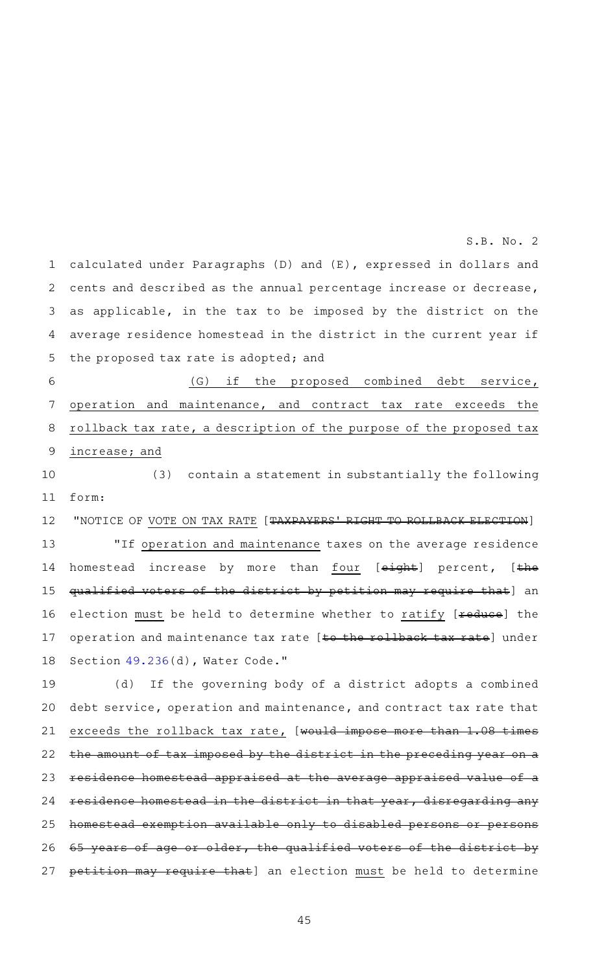calculated under Paragraphs (D) and (E), expressed in dollars and cents and described as the annual percentage increase or decrease, as applicable, in the tax to be imposed by the district on the average residence homestead in the district in the current year if the proposed tax rate is adopted; and (G) if the proposed combined debt service, operation and maintenance, and contract tax rate exceeds the rollback tax rate, a description of the purpose of the proposed tax increase; and (3) contain a statement in substantially the following form: "NOTICE OF VOTE ON TAX RATE [TAXPAYERS ' RIGHT TO ROLLBACK ELECTION] "If operation and maintenance taxes on the average residence homestead increase by more than four [eight] percent, [the qualified voters of the district by petition may require that] an election must be held to determine whether to ratify [reduce] the operation and maintenance tax rate [to the rollback tax rate] under Section [49.236](http://www.statutes.legis.state.tx.us/GetStatute.aspx?Code=WA&Value=49.236&Date=11/29/2016)(d), Water Code." 1 2 3 4 5 6 7 8 9 10 11 12 13 14 15 16 17 18

S.B. No. 2

(d) If the governing body of a district adopts a combined debt service, operation and maintenance, and contract tax rate that exceeds the rollback tax rate, [would impose more than 1.08 times the amount of tax imposed by the district in the preceding year on a residence homestead appraised at the average appraised value of a residence homestead in the district in that year, disregarding any homestead exemption available only to disabled persons or persons years of age or older, the qualified voters of the district by petition may require that] an election must be held to determine 19 20 21 22 23 24 25 26 27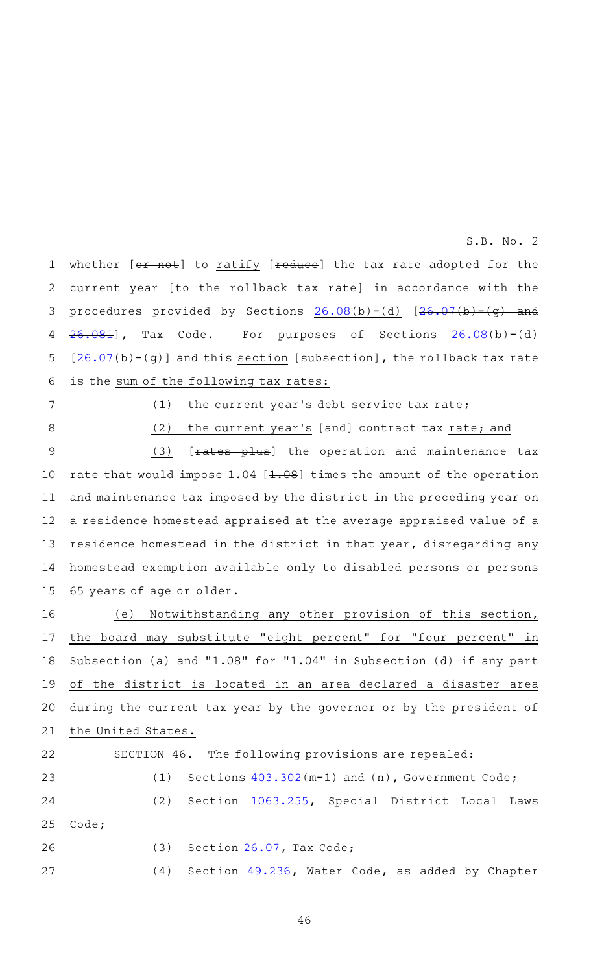whether [or not] to ratify [reduce] the tax rate adopted for the current year [to the rollback tax rate] in accordance with the procedures provided by Sections  $26.08(b)-(d)$  $26.08(b)-(d)$   $[26.07(b)-(g)$  $[26.07(b)-(g)$  and [26.081](http://www.statutes.legis.state.tx.us/GetStatute.aspx?Code=TX&Value=26.081&Date=11/29/2016)], Tax Code. For purposes of Sections [26.08](http://www.statutes.legis.state.tx.us/GetStatute.aspx?Code=TX&Value=26.08&Date=11/29/2016)(b)-(d)  $[26.07(b)-(g)]$  $[26.07(b)-(g)]$  $[26.07(b)-(g)]$  and this section [subsection], the rollback tax rate is the sum of the following tax rates: 1 2 3 4 5 6

7 8  $(1)$  the current year's debt service tax rate;

(2) the current year's [and] contract tax rate; and

 $(3)$  [ $fates$  plus] the operation and maintenance tax rate that would impose  $1.04$  [ $1.08$ ] times the amount of the operation and maintenance tax imposed by the district in the preceding year on a residence homestead appraised at the average appraised value of a residence homestead in the district in that year, disregarding any homestead exemption available only to disabled persons or persons 65 years of age or older. 9 10 11 12 13 14 15

(e) Notwithstanding any other provision of this section, the board may substitute "eight percent" for "four percent" in Subsection (a) and "1.08" for "1.04" in Subsection (d) if any part of the district is located in an area declared a disaster area during the current tax year by the governor or by the president of the United States. SECTION 46. The following provisions are repealed: 16 17 18 19 20 21 22

(1) Sections  $403.302(m-1)$  $403.302(m-1)$  and (n), Government Code; (2) Section [1063.255,](http://www.statutes.legis.state.tx.us/GetStatute.aspx?Code=SD&Value=1063.255&Date=11/29/2016) Special District Local Laws Code;  $(3)$  Section [26.07,](http://www.statutes.legis.state.tx.us/GetStatute.aspx?Code=TX&Value=26.07&Date=11/29/2016) Tax Code; (4) Section [49.236](http://www.statutes.legis.state.tx.us/GetStatute.aspx?Code=WA&Value=49.236&Date=11/29/2016), Water Code, as added by Chapter 23 24 25 26 27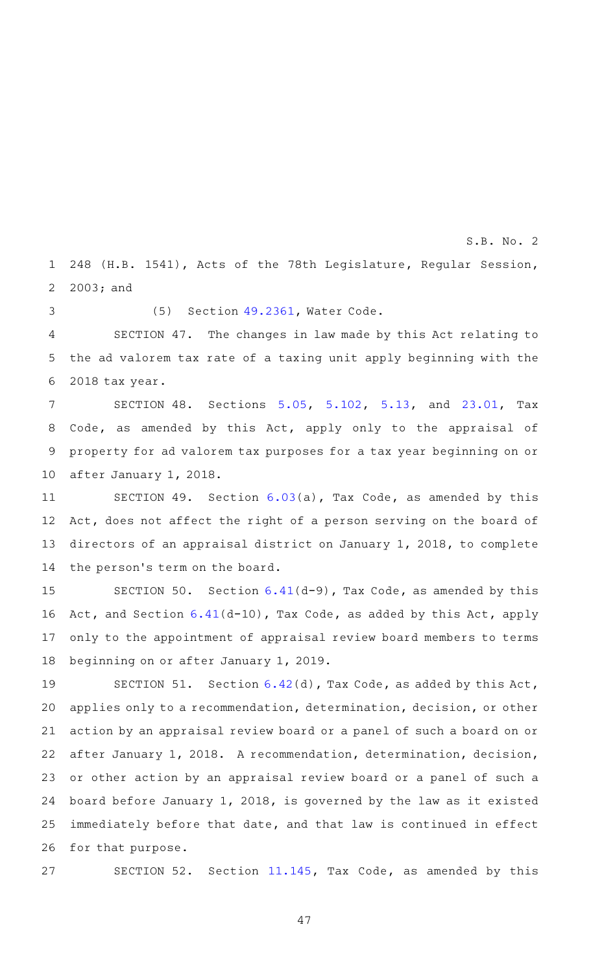248 (H.B. 1541), Acts of the 78th Legislature, Regular Session, S.B. No. 2

2003; and 2

3

1

 $(5)$  Section  $49.2361$ , Water Code.

SECTION 47. The changes in law made by this Act relating to the ad valorem tax rate of a taxing unit apply beginning with the 2018 tax year. 4 5 6

SECTION 48. Sections [5.05,](http://www.statutes.legis.state.tx.us/GetStatute.aspx?Code=TX&Value=5.05&Date=11/29/2016) [5.102,](http://www.statutes.legis.state.tx.us/GetStatute.aspx?Code=TX&Value=5.102&Date=11/29/2016) [5.13](http://www.statutes.legis.state.tx.us/GetStatute.aspx?Code=TX&Value=5.13&Date=11/29/2016), and [23.01,](http://www.statutes.legis.state.tx.us/GetStatute.aspx?Code=TX&Value=23.01&Date=11/29/2016) Tax Code, as amended by this Act, apply only to the appraisal of property for ad valorem tax purposes for a tax year beginning on or after January 1, 2018. 7 8 9 10

SECTION 49. Section  $6.03(a)$  $6.03(a)$ , Tax Code, as amended by this Act, does not affect the right of a person serving on the board of directors of an appraisal district on January 1, 2018, to complete the person's term on the board. 11 12 13 14

SECTION 50. Section  $6.41(d-9)$  $6.41(d-9)$ , Tax Code, as amended by this Act, and Section [6.41](http://www.statutes.legis.state.tx.us/GetStatute.aspx?Code=TX&Value=6.41&Date=11/29/2016)(d-10), Tax Code, as added by this Act, apply only to the appointment of appraisal review board members to terms beginning on or after January 1, 2019. 15 16 17 18

SECTION 51. Section  $6.42(d)$  $6.42(d)$ , Tax Code, as added by this Act, applies only to a recommendation, determination, decision, or other action by an appraisal review board or a panel of such a board on or after January 1, 2018. A recommendation, determination, decision, or other action by an appraisal review board or a panel of such a board before January 1, 2018, is governed by the law as it existed immediately before that date, and that law is continued in effect for that purpose. 19 20 21 22 23 24 25 26

27

SECTION 52. Section [11.145,](http://www.statutes.legis.state.tx.us/GetStatute.aspx?Code=TX&Value=11.145&Date=11/29/2016) Tax Code, as amended by this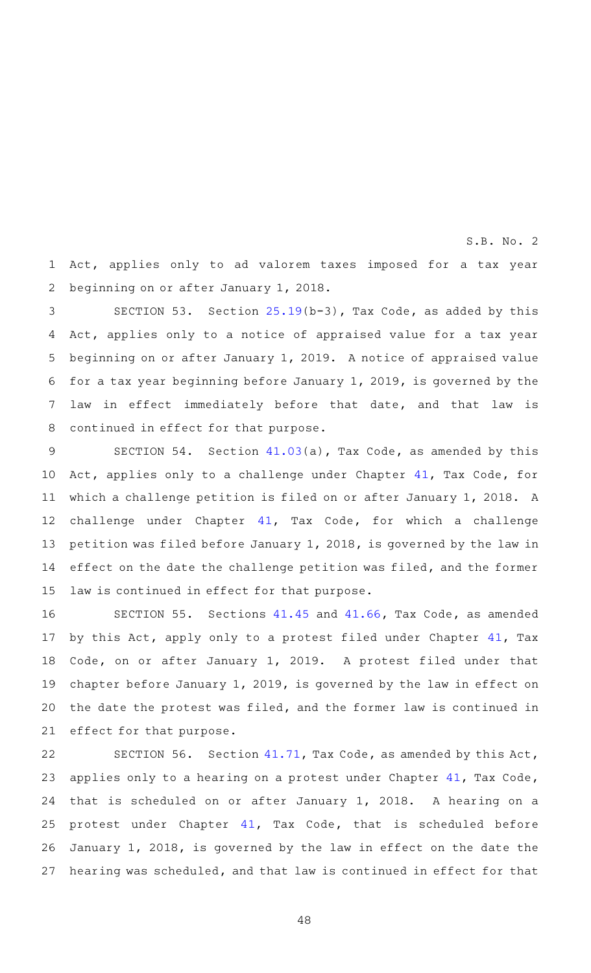Act, applies only to ad valorem taxes imposed for a tax year beginning on or after January 1, 2018. 1 2

S.B. No. 2

SECTION 53. Section  $25.19(b-3)$  $25.19(b-3)$ , Tax Code, as added by this Act, applies only to a notice of appraised value for a tax year beginning on or after January 1, 2019. A notice of appraised value for a tax year beginning before January 1, 2019, is governed by the law in effect immediately before that date, and that law is continued in effect for that purpose. 3 4 5 6 7 8

SECTION 54. Section  $41.03(a)$  $41.03(a)$ , Tax Code, as amended by this Act, applies only to a challenge under Chapter [41,](http://www.statutes.legis.state.tx.us/GetStatute.aspx?Code=TX&Value=41&Date=11/29/2016) Tax Code, for which a challenge petition is filed on or after January 1, 2018. A challenge under Chapter [41,](http://www.statutes.legis.state.tx.us/GetStatute.aspx?Code=TX&Value=41&Date=11/29/2016) Tax Code, for which a challenge petition was filed before January 1, 2018, is governed by the law in effect on the date the challenge petition was filed, and the former law is continued in effect for that purpose. 9 10 11 12 13 14 15

SECTION 55. Sections [41.45](http://www.statutes.legis.state.tx.us/GetStatute.aspx?Code=TX&Value=41.45&Date=11/29/2016) and [41.66,](http://www.statutes.legis.state.tx.us/GetStatute.aspx?Code=TX&Value=41.66&Date=11/29/2016) Tax Code, as amended by this Act, apply only to a protest filed under Chapter [41,](http://www.statutes.legis.state.tx.us/GetStatute.aspx?Code=TX&Value=41&Date=11/29/2016) Tax Code, on or after January 1, 2019. A protest filed under that chapter before January 1, 2019, is governed by the law in effect on the date the protest was filed, and the former law is continued in effect for that purpose. 16 17 18 19 20 21

SECTION 56. Section [41.71](http://www.statutes.legis.state.tx.us/GetStatute.aspx?Code=TX&Value=41.71&Date=11/29/2016), Tax Code, as amended by this Act, applies only to a hearing on a protest under Chapter [41,](http://www.statutes.legis.state.tx.us/GetStatute.aspx?Code=TX&Value=41&Date=11/29/2016) Tax Code, that is scheduled on or after January 1, 2018. A hearing on a protest under Chapter [41](http://www.statutes.legis.state.tx.us/GetStatute.aspx?Code=TX&Value=41&Date=11/29/2016), Tax Code, that is scheduled before January 1, 2018, is governed by the law in effect on the date the hearing was scheduled, and that law is continued in effect for that 22 23 24 25 26 27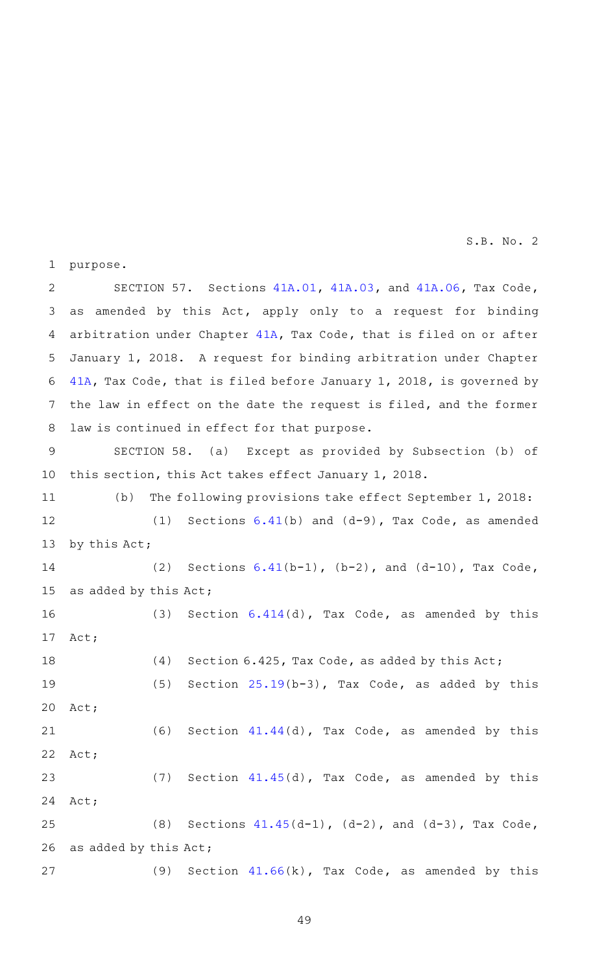purpose. SECTION 57. Sections  $41A.01$ ,  $41A.03$ , and  $41A.06$ , Tax Code, as amended by this Act, apply only to a request for binding arbitration under Chapter [41A,](http://www.statutes.legis.state.tx.us/GetStatute.aspx?Code=TX&Value=41A&Date=11/29/2016) Tax Code, that is filed on or after January 1, 2018. A request for binding arbitration under Chapter [41A,](http://www.statutes.legis.state.tx.us/GetStatute.aspx?Code=TX&Value=41A&Date=11/29/2016) Tax Code, that is filed before January 1, 2018, is governed by the law in effect on the date the request is filed, and the former law is continued in effect for that purpose. SECTION 58. (a) Except as provided by Subsection (b) of this section, this Act takes effect January 1, 2018. (b) The following provisions take effect September 1, 2018: (1) Sections  $6.41(b)$  $6.41(b)$  and  $(d-9)$ , Tax Code, as amended by this Act; (2) Sections  $6.41(b-1)$  $6.41(b-1)$ ,  $(b-2)$ , and  $(d-10)$ , Tax Code, as added by this Act; (3) Section  $6.414(d)$  $6.414(d)$ , Tax Code, as amended by this Act; (4) Section 6.425, Tax Code, as added by this Act; (5) Section  $25.19(b-3)$  $25.19(b-3)$ , Tax Code, as added by this Act; (6) Section  $41.44(d)$  $41.44(d)$ , Tax Code, as amended by this Act; (7) Section  $41.45(d)$  $41.45(d)$ , Tax Code, as amended by this Act; (8) Sections  $41.45(d-1)$  $41.45(d-1)$ ,  $(d-2)$ , and  $(d-3)$ , Tax Code, as added by this Act; (9) Section  $41.66(k)$  $41.66(k)$ , Tax Code, as amended by this 1 2 3 4 5 6 7 8 9 10 11 12 13 14 15 16 17 18 19 20 21 22 23 24 25 26 27